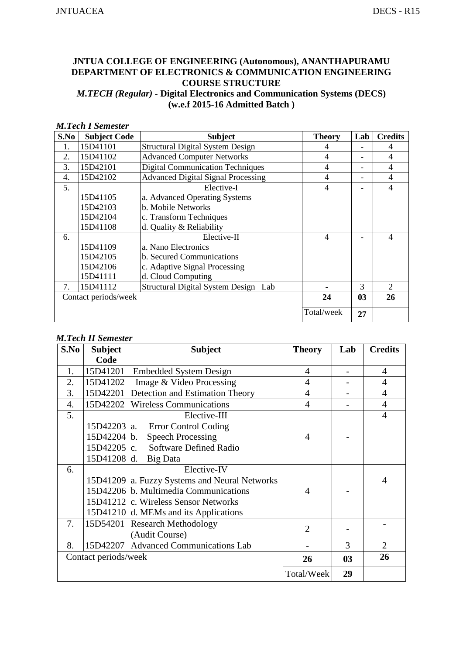## **JNTUA COLLEGE OF ENGINEERING (Autonomous), ANANTHAPURAMU DEPARTMENT OF ELECTRONICS & COMMUNICATION ENGINEERING COURSE STRUCTURE**  *M.TECH (Regular) -* **Digital Electronics and Communication Systems (DECS) (w.e.f 2015-16 Admitted Batch )**

#### *M.Tech I Semester*

| S.No | <b>Subject Code</b>  | <b>Subject</b>                            | <b>Theory</b>  | Lab            | <b>Credits</b> |
|------|----------------------|-------------------------------------------|----------------|----------------|----------------|
| 1.   | 15D41101             | <b>Structural Digital System Design</b>   | 4              |                | 4              |
| 2.   | 15D41102             | <b>Advanced Computer Networks</b>         | 4              |                | 4              |
| 3.   | 15D42101             | <b>Digital Communication Techniques</b>   | 4              |                | 4              |
| 4.   | 15D42102             | <b>Advanced Digital Signal Processing</b> | 4              |                | 4              |
| 5.   |                      | Elective-I                                | $\overline{4}$ |                | 4              |
|      | 15D41105             | a. Advanced Operating Systems             |                |                |                |
|      | 15D42103             | b. Mobile Networks                        |                |                |                |
|      | 15D42104             | c. Transform Techniques                   |                |                |                |
|      | 15D41108             | d. Quality & Reliability                  |                |                |                |
| 6.   |                      | Elective-II                               | $\overline{4}$ |                | 4              |
|      | 15D41109             | a. Nano Electronics                       |                |                |                |
|      | 15D42105             | b. Secured Communications                 |                |                |                |
|      | 15D42106             | c. Adaptive Signal Processing             |                |                |                |
|      | 15D41111             | d. Cloud Computing                        |                |                |                |
| 7.   | 15D41112             | Structural Digital System Design Lab      |                | 3              | 2              |
|      | Contact periods/week |                                           | 24             | 0 <sub>3</sub> | 26             |
|      |                      |                                           | Total/week     | 27             |                |

## *M.Tech II Semester*

| S.No | <b>Subject</b>       | <b>Subject</b>                                | <b>Theory</b>  | Lab            | <b>Credits</b> |
|------|----------------------|-----------------------------------------------|----------------|----------------|----------------|
|      | Code                 |                                               |                |                |                |
| 1.   | 15D41201             | <b>Embedded System Design</b>                 | $\overline{4}$ |                | $\overline{4}$ |
| 2.   | 15D41202             | Image & Video Processing                      | $\overline{4}$ |                | $\overline{4}$ |
| 3.   | 15D42201             | Detection and Estimation Theory               | $\overline{4}$ |                | $\overline{4}$ |
| 4.   | 15D42202             | <b>Wireless Communications</b>                | $\overline{4}$ |                | $\overline{4}$ |
| 5.   |                      | Elective-III                                  |                |                | $\overline{4}$ |
|      | 15D42203   a.        | <b>Error Control Coding</b>                   |                |                |                |
|      | 15D42204 b.          | <b>Speech Processing</b>                      | $\overline{4}$ |                |                |
|      | 15D42205 c.          | Software Defined Radio                        |                |                |                |
|      | 15D41208 d.          | Big Data                                      |                |                |                |
| 6.   |                      | Elective-IV                                   |                |                |                |
|      |                      | 15D41209 a. Fuzzy Systems and Neural Networks |                |                | 4              |
|      |                      | 15D42206 b. Multimedia Communications         | $\overline{4}$ |                |                |
|      |                      | 15D41212 c. Wireless Sensor Networks          |                |                |                |
|      |                      | 15D41210 d. MEMs and its Applications         |                |                |                |
| 7.   | 15D54201             | <b>Research Methodology</b>                   | $\overline{2}$ |                |                |
|      |                      | (Audit Course)                                |                |                |                |
| 8.   | 15D42207             | <b>Advanced Communications Lab</b>            |                | 3              | 2              |
|      | Contact periods/week |                                               | 26             | 0 <sub>3</sub> | 26             |
|      |                      |                                               | Total/Week     | 29             |                |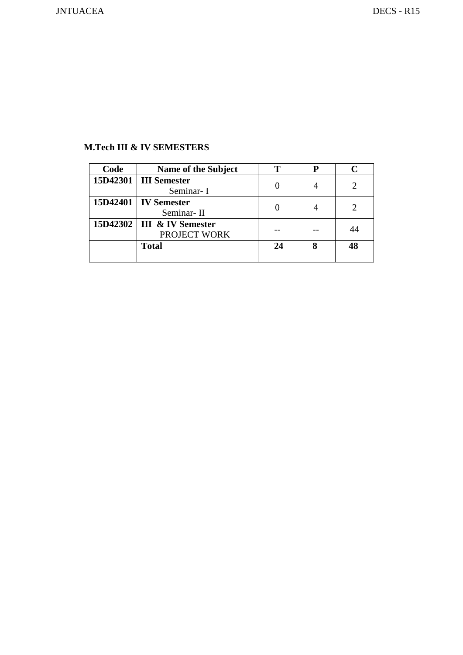## **M.Tech III & IV SEMESTERS**

| Code | Name of the Subject                          | т  | D |    |
|------|----------------------------------------------|----|---|----|
|      | 15D42301   III Semester<br>Seminar-I         |    |   |    |
|      | 15D42401   IV Semester<br>Seminar-II         |    |   |    |
|      | 15D42302   III & IV Semester<br>PROJECT WORK |    |   | 44 |
|      | <b>Total</b>                                 | 24 |   | 48 |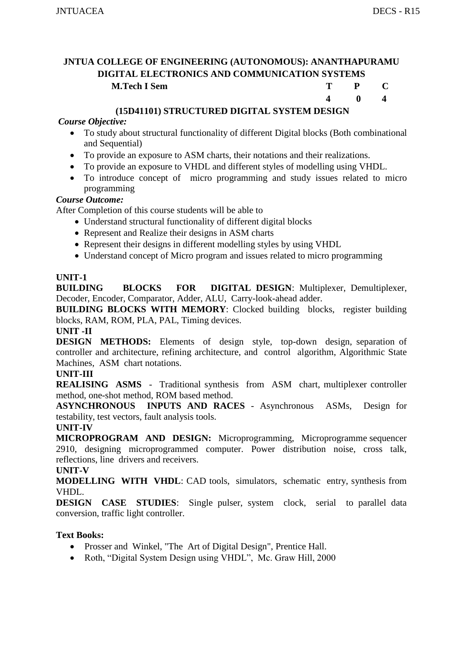**4 0 4** 

## **JNTUA COLLEGE OF ENGINEERING (AUTONOMOUS): ANANTHAPURAMU DIGITAL ELECTRONICS AND COMMUNICATION SYSTEMS M.Tech I Sem T P C**

## **(15D41101) STRUCTURED DIGITAL SYSTEM DESIGN**

#### *Course Objective:*

- To study about structural functionality of different Digital blocks (Both combinational and Sequential)
- To provide an exposure to ASM charts, their notations and their realizations.
- To provide an exposure to VHDL and different styles of modelling using VHDL.
- To introduce concept of micro programming and study issues related to micro programming

#### *Course Outcome:*

After Completion of this course students will be able to

- Understand structural functionality of different digital blocks
- Represent and Realize their designs in ASM charts
- Represent their designs in different modelling styles by using VHDL
- Understand concept of Micro program and issues related to micro programming

#### **UNIT-1**

**BUILDING BLOCKS FOR DIGITAL DESIGN**: Multiplexer, Demultiplexer, Decoder, Encoder, Comparator, Adder, ALU, Carry-look-ahead adder.

**BUILDING BLOCKS WITH MEMORY:** Clocked building blocks, register building blocks, RAM, ROM, PLA, PAL, Timing devices.

#### **UNIT -II**

**DESIGN METHODS:** Elements of design style, top-down design, separation of controller and architecture, refining architecture, and control algorithm, Algorithmic State Machines, ASM chart notations.

#### **UNIT-III**

**REALISING ASMS** - Traditional synthesis from ASM chart, multiplexer controller method, one-shot method, ROM based method.

**ASYNCHRONOUS INPUTS AND RACES** - Asynchronous ASMs, Design for testability, test vectors, fault analysis tools.

#### **UNIT-IV**

**MICROPROGRAM AND DESIGN:** Microprogramming, Microprogramme sequencer 2910, designing microprogrammed computer. Power distribution noise, cross talk, reflections, line drivers and receivers.

#### **UNIT-V**

**MODELLING WITH VHDL**: CAD tools, simulators, schematic entry, synthesis from VHDL.

**DESIGN CASE STUDIES**: Single pulser, system clock, serial to parallel data conversion, traffic light controller.

## **Text Books:**

- Prosser and Winkel, "The Art of Digital Design", Prentice Hall.
- Roth, "Digital System Design using VHDL", Mc. Graw Hill, 2000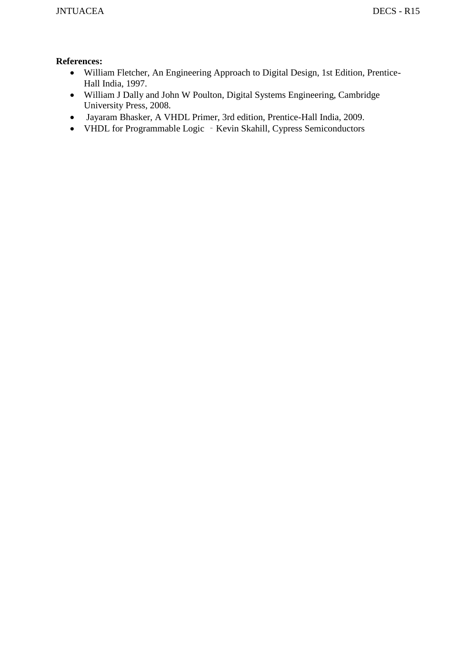- William Fletcher, An Engineering Approach to Digital Design, 1st Edition, Prentice-Hall India, 1997.
- William J Dally and John W Poulton, Digital Systems Engineering, Cambridge University Press, 2008.
- Jayaram Bhasker, A VHDL Primer, 3rd edition, Prentice-Hall India, 2009.
- VHDL for Programmable Logic Kevin Skahill, Cypress Semiconductors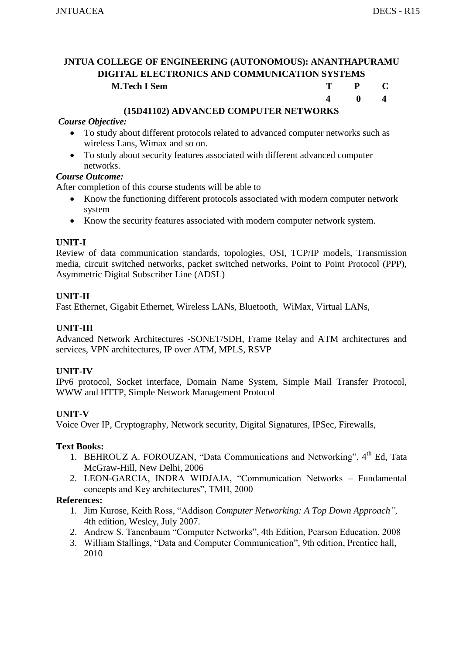**4 0 4** 

## **JNTUA COLLEGE OF ENGINEERING (AUTONOMOUS): ANANTHAPURAMU DIGITAL ELECTRONICS AND COMMUNICATION SYSTEMS M.Tech I Sem T P C**

## **(15D41102) ADVANCED COMPUTER NETWORKS**

#### *Course Objective:*

- To study about different protocols related to advanced computer networks such as wireless Lans, Wimax and so on.
- To study about security features associated with different advanced computer networks.

#### *Course Outcome:*

After completion of this course students will be able to

- Know the functioning different protocols associated with modern computer network system
- Know the security features associated with modern computer network system.

## **UNIT-I**

Review of data communication standards, topologies, OSI, TCP/IP models, Transmission media, circuit switched networks, packet switched networks, Point to Point Protocol (PPP), Asymmetric Digital Subscriber Line (ADSL)

## **UNIT-II**

Fast Ethernet, Gigabit Ethernet, Wireless LANs, Bluetooth, WiMax, Virtual LANs,

#### **UNIT-III**

Advanced Network Architectures -SONET/SDH, Frame Relay and ATM architectures and services, VPN architectures, IP over ATM, MPLS, RSVP

#### **UNIT-IV**

IPv6 protocol, Socket interface, Domain Name System, Simple Mail Transfer Protocol, WWW and HTTP, Simple Network Management Protocol

## **UNIT-V**

Voice Over IP, Cryptography, Network security, Digital Signatures, IPSec, Firewalls,

#### **Text Books:**

- 1. BEHROUZ A. FOROUZAN, "Data Communications and Networking", 4<sup>th</sup> Ed. Tata McGraw-Hill, New Delhi, 2006
- 2. LEON-GARCIA, INDRA WIDJAJA, "Communication Networks Fundamental concepts and Key architectures", TMH, 2000

- 1. Jim Kurose, Keith Ross, "Addison *Computer Networking: A Top Down Approach",*  4th edition, Wesley, July 2007.
- 2. Andrew S. Tanenbaum "Computer Networks", 4th Edition, Pearson Education, 2008
- 3. William Stallings, "Data and Computer Communication", 9th edition, Prentice hall, 2010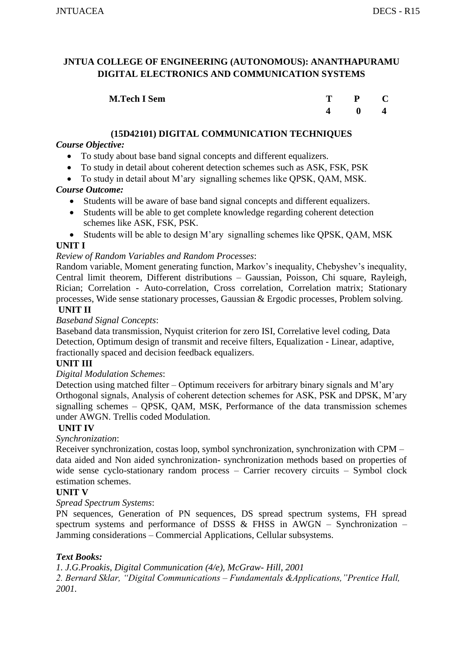| <b>M.Tech I Sem</b> | $\mathbf{T}$ | P C          |  |
|---------------------|--------------|--------------|--|
|                     |              | $\mathbf{0}$ |  |

## **(15D42101) DIGITAL COMMUNICATION TECHNIQUES**

## *Course Objective:*

- To study about base band signal concepts and different equalizers.
- To study in detail about coherent detection schemes such as ASK, FSK, PSK
- To study in detail about M'ary signalling schemes like QPSK, QAM, MSK.

## *Course Outcome:*

- Students will be aware of base band signal concepts and different equalizers.
- Students will be able to get complete knowledge regarding coherent detection schemes like ASK, FSK, PSK.
- Students will be able to design M'ary signalling schemes like QPSK, QAM, MSK

#### **UNIT I**

## *Review of Random Variables and Random Processes*:

Random variable, Moment generating function, Markov's inequality, Chebyshev's inequality, Central limit theorem, Different distributions – Gaussian, Poisson, Chi square, Rayleigh, Rician; Correlation - Auto-correlation, Cross correlation, Correlation matrix; Stationary processes, Wide sense stationary processes, Gaussian & Ergodic processes, Problem solving.

#### **UNIT II**

#### *Baseband Signal Concepts*:

Baseband data transmission, Nyquist criterion for zero ISI, Correlative level coding, Data Detection, Optimum design of transmit and receive filters, Equalization - Linear, adaptive, fractionally spaced and decision feedback equalizers.

## **UNIT III**

#### *Digital Modulation Schemes*:

Detection using matched filter – Optimum receivers for arbitrary binary signals and M'ary Orthogonal signals, Analysis of coherent detection schemes for ASK, PSK and DPSK, M'ary signalling schemes – QPSK, QAM, MSK, Performance of the data transmission schemes under AWGN. Trellis coded Modulation.

#### **UNIT IV**

## *Synchronization*:

Receiver synchronization, costas loop, symbol synchronization, synchronization with CPM – data aided and Non aided synchronization- synchronization methods based on properties of wide sense cyclo-stationary random process – Carrier recovery circuits – Symbol clock estimation schemes.

## **UNIT V**

#### *Spread Spectrum Systems*:

PN sequences, Generation of PN sequences, DS spread spectrum systems, FH spread spectrum systems and performance of DSSS  $\&$  FHSS in AWGN – Synchronization – Jamming considerations – Commercial Applications, Cellular subsystems.

## *Text Books:*

*1. J.G.Proakis, Digital Communication (4/e), McGraw- Hill, 2001 2. Bernard Sklar, "Digital Communications – Fundamentals &Applications,"Prentice Hall, 2001.*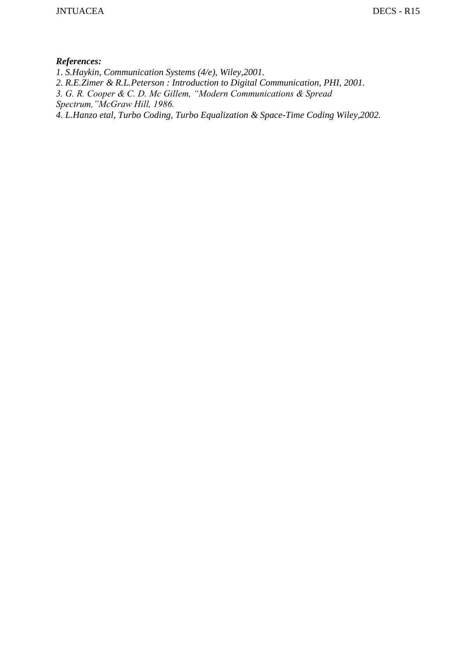- *1. S.Haykin, Communication Systems (4/e), Wiley,2001.*
- *2. R.E.Zimer & R.L.Peterson : Introduction to Digital Communication, PHI, 2001.*
- *3. G. R. Cooper & C. D. Mc Gillem, "Modern Communications & Spread*
- *Spectrum,"McGraw Hill, 1986.*
- *4. L.Hanzo etal, Turbo Coding, Turbo Equalization & Space-Time Coding Wiley,2002.*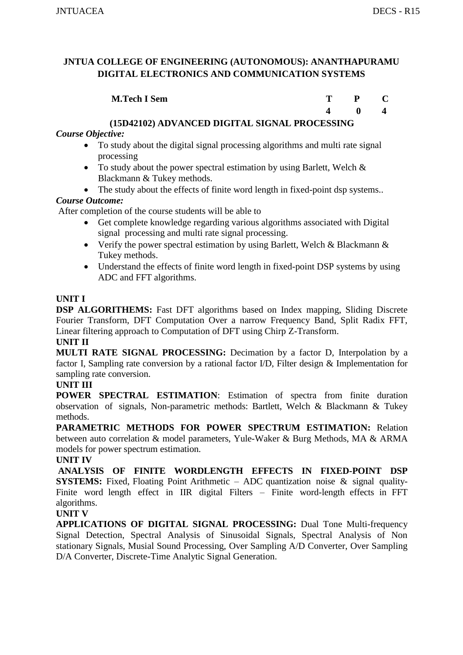| <b>M.Tech I Sem</b> |  |  |
|---------------------|--|--|
|                     |  |  |

 **4 0 4** 

## **(15D42102) ADVANCED DIGITAL SIGNAL PROCESSING**

## *Course Objective:*

- To study about the digital signal processing algorithms and multi rate signal processing
- To study about the power spectral estimation by using Barlett, Welch & Blackmann & Tukey methods.
- The study about the effects of finite word length in fixed-point dsp systems..

## *Course Outcome:*

After completion of the course students will be able to

- Get complete knowledge regarding various algorithms associated with Digital signal processing and multi rate signal processing.
- Verify the power spectral estimation by using Barlett, Welch & Blackmann & Tukey methods.
- Understand the effects of finite word length in fixed-point DSP systems by using ADC and FFT algorithms.

## **UNIT I**

**DSP ALGORITHEMS:** Fast DFT algorithms based on Index mapping, Sliding Discrete Fourier Transform, DFT Computation Over a narrow Frequency Band, Split Radix FFT, Linear filtering approach to Computation of DFT using Chirp Z-Transform.

## **UNIT II**

**MULTI RATE SIGNAL PROCESSING:** Decimation by a factor D, Interpolation by a factor I, Sampling rate conversion by a rational factor I/D, Filter design & Implementation for sampling rate conversion.

## **UNIT III**

**POWER SPECTRAL ESTIMATION**: Estimation of spectra from finite duration observation of signals, Non-parametric methods: Bartlett, Welch & Blackmann & Tukey methods.

**PARAMETRIC METHODS FOR POWER SPECTRUM ESTIMATION:** Relation between auto correlation & model parameters, Yule-Waker & Burg Methods, MA & ARMA models for power spectrum estimation.

## **UNIT IV**

**ANALYSIS OF FINITE WORDLENGTH EFFECTS IN FIXED-POINT DSP SYSTEMS:** Fixed, Floating Point Arithmetic – ADC quantization noise & signal quality-Finite word length effect in IIR digital Filters – Finite word-length effects in FFT algorithms.

## **UNIT V**

**APPLICATIONS OF DIGITAL SIGNAL PROCESSING:** Dual Tone Multi-frequency Signal Detection, Spectral Analysis of Sinusoidal Signals, Spectral Analysis of Non stationary Signals, Musial Sound Processing, Over Sampling A/D Converter, Over Sampling D/A Converter, Discrete-Time Analytic Signal Generation.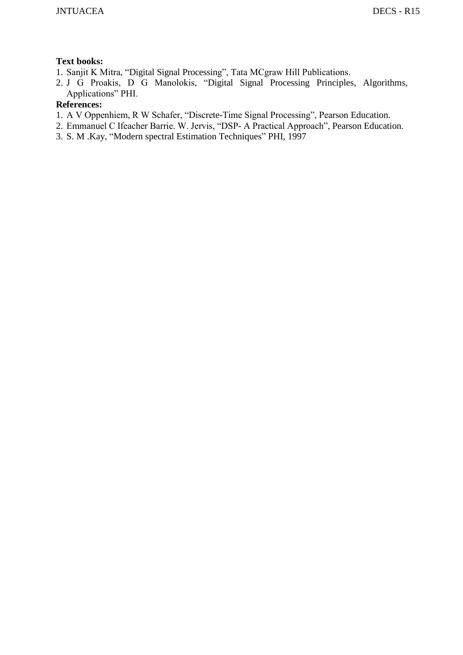## **Text books:**

- 1. Sanjit K Mitra, "Digital Signal Processing", Tata MCgraw Hill Publications.
- 2. J G Proakis, D G Manolokis, "Digital Signal Processing Principles, Algorithms, Applications" PHI.

- 1. A V Oppenhiem, R W Schafer, "Discrete-Time Signal Processing", Pearson Education.
- 2. Emmanuel C Ifeacher Barrie. W. Jervis, "DSP- A Practical Approach", Pearson Education.
- 3. S. M .Kay, "Modern spectral Estimation Techniques" PHI, 1997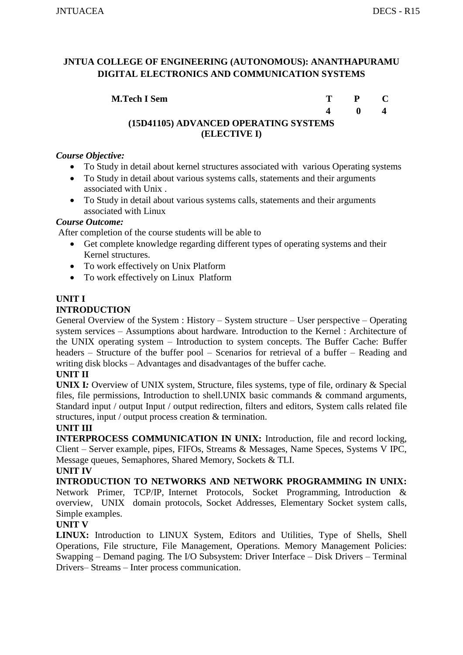| <b>M.Tech I Sem</b>                   |             | $T \t P \t C$                                   |  |
|---------------------------------------|-------------|-------------------------------------------------|--|
|                                       | $\mathbf 4$ | $\blacksquare$ () and the set of $\blacksquare$ |  |
| (15D41105) ADVANCED OPERATING SYSTEMS |             |                                                 |  |
| (ELECTIVE I)                          |             |                                                 |  |

#### *Course Objective:*

- To Study in detail about kernel structures associated with various Operating systems
- To Study in detail about various systems calls, statements and their arguments associated with Unix .
- To Study in detail about various systems calls, statements and their arguments associated with Linux

#### *Course Outcome:*

After completion of the course students will be able to

- Get complete knowledge regarding different types of operating systems and their Kernel structures.
- To work effectively on Unix Platform
- To work effectively on Linux Platform

#### **UNIT I INTRODUCTION**

General Overview of the System : History – System structure – User perspective – Operating system services – Assumptions about hardware. Introduction to the Kernel : Architecture of the UNIX operating system – Introduction to system concepts. The Buffer Cache: Buffer headers – Structure of the buffer pool – Scenarios for retrieval of a buffer – Reading and writing disk blocks – Advantages and disadvantages of the buffer cache.

#### **UNIT II**

**UNIX I***:* Overview of UNIX system, Structure, files systems, type of file, ordinary & Special files, file permissions, Introduction to shell.UNIX basic commands & command arguments, Standard input / output Input / output redirection, filters and editors, System calls related file structures, input / output process creation & termination.

#### **UNIT III**

**INTERPROCESS COMMUNICATION IN UNIX:** Introduction, file and record locking, Client – Server example, pipes, FIFOs, Streams & Messages, Name Speces, Systems V IPC, Message queues, Semaphores, Shared Memory, Sockets & TLI.

#### **UNIT IV**

**INTRODUCTION TO NETWORKS AND NETWORK PROGRAMMING IN UNIX:**  Network Primer, TCP/IP, Internet Protocols, Socket Programming, Introduction & overview, UNIX domain protocols, Socket Addresses, Elementary Socket system calls, Simple examples.

## **UNIT V**

**LINUX:** Introduction to LINUX System, Editors and Utilities, Type of Shells, Shell Operations, File structure, File Management, Operations. Memory Management Policies: Swapping – Demand paging. The I/O Subsystem: Driver Interface – Disk Drivers – Terminal Drivers– Streams – Inter process communication.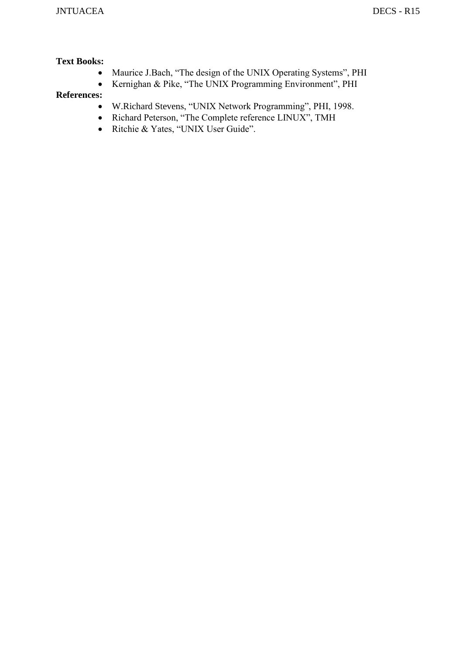## **Text Books:**

- Maurice J.Bach, "The design of the UNIX Operating Systems", PHI
- Kernighan & Pike, "The UNIX Programming Environment", PHI

- W.Richard Stevens, "UNIX Network Programming", PHI, 1998.
- Richard Peterson, "The Complete reference LINUX", TMH
- Ritchie & Yates, "UNIX User Guide".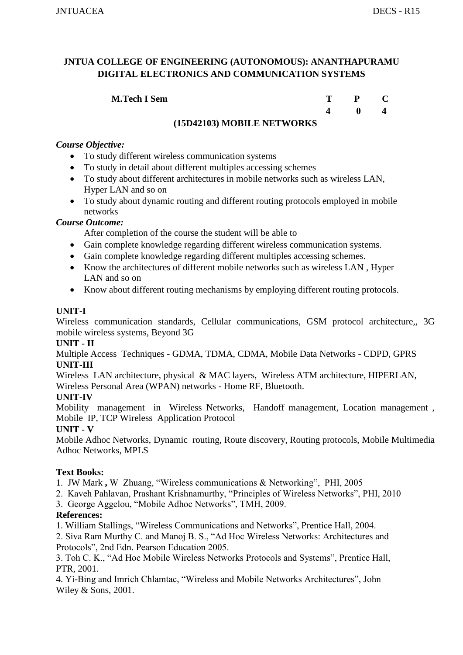## **M.Tech I Sem**

| T | $\mathbf{P}$ | $\mathbf C$             |
|---|--------------|-------------------------|
| 4 | $\bf{0}$     | $\overline{\mathbf{4}}$ |

## **(15D42103) MOBILE NETWORKS**

#### *Course Objective:*

- To study different wireless communication systems
- To study in detail about different multiples accessing schemes
- To study about different architectures in mobile networks such as wireless LAN, Hyper LAN and so on
- To study about dynamic routing and different routing protocols employed in mobile networks

#### *Course Outcome:*

After completion of the course the student will be able to

- Gain complete knowledge regarding different wireless communication systems.
- Gain complete knowledge regarding different multiples accessing schemes.
- Know the architectures of different mobile networks such as wireless LAN, Hyper LAN and so on
- Know about different routing mechanisms by employing different routing protocols.

## **UNIT-I**

Wireless communication standards, Cellular communications, GSM protocol architecture,, 3G mobile wireless systems, Beyond 3G

#### **UNIT - II**

Multiple Access Techniques - GDMA, TDMA, CDMA, Mobile Data Networks - CDPD, GPRS **UNIT-III**

Wireless LAN architecture, physical & MAC layers, Wireless ATM architecture, HIPERLAN, Wireless Personal Area (WPAN) networks - Home RF, Bluetooth.

## **UNIT-IV**

Mobility management in Wireless Networks, Handoff management, Location management , Mobile IP, TCP Wireless Application Protocol

## **UNIT - V**

Mobile Adhoc Networks, Dynamic routing, Route discovery, Routing protocols, Mobile Multimedia Adhoc Networks, MPLS

## **Text Books:**

- 1. JW Mark **,** W Zhuang, "Wireless communications & Networking", PHI, 2005
- 2. Kaveh Pahlavan, Prashant Krishnamurthy, "Principles of Wireless Networks", PHI, 2010
- 3. George Aggelou, "Mobile Adhoc Networks", TMH, 2009.

## **References:**

1. William Stallings, "Wireless Communications and Networks", Prentice Hall, 2004.

2. Siva Ram Murthy C. and Manoj B. S., "Ad Hoc Wireless Networks: Architectures and Protocols", 2nd Edn. Pearson Education 2005.

3. Toh C. K., "Ad Hoc Mobile Wireless Networks Protocols and Systems", Prentice Hall, PTR, 2001.

4. Yi-Bing and Imrich Chlamtac, "Wireless and Mobile Networks Architectures", John Wiley & Sons, 2001.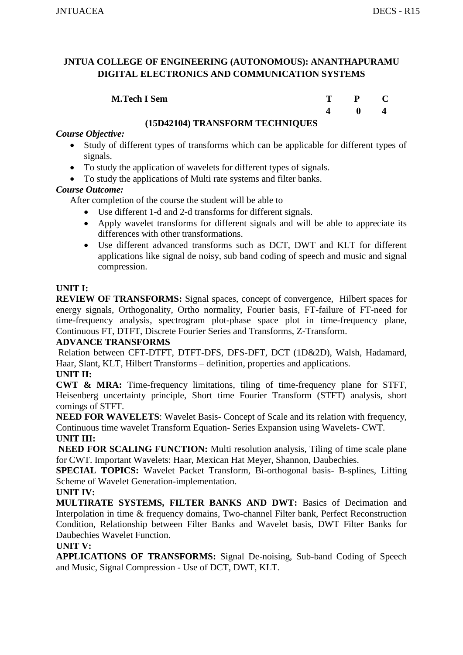| <b>M.Tech I Sem</b> | T. | $P \t C$ |              |
|---------------------|----|----------|--------------|
|                     |    |          | $\mathbf{0}$ |

#### **(15D42104) TRANSFORM TECHNIQUES**

#### *Course Objective:*

- Study of different types of transforms which can be applicable for different types of signals.
- To study the application of wavelets for different types of signals.
- To study the applications of Multi rate systems and filter banks.

## *Course Outcome:*

After completion of the course the student will be able to

- Use different 1-d and 2-d transforms for different signals.
- Apply wavelet transforms for different signals and will be able to appreciate its differences with other transformations.
- Use different advanced transforms such as DCT, DWT and KLT for different applications like signal de noisy, sub band coding of speech and music and signal compression.

## **UNIT I:**

**REVIEW OF TRANSFORMS:** Signal spaces, concept of convergence, Hilbert spaces for energy signals, Orthogonality, Ortho normality, Fourier basis, FT-failure of FT-need for time-frequency analysis, spectrogram plot-phase space plot in time-frequency plane, Continuous FT, DTFT, Discrete Fourier Series and Transforms, Z-Transform.

#### **ADVANCE TRANSFORMS**

Relation between CFT-DTFT, DTFT-DFS, DFS-DFT, DCT (1D&2D), Walsh, Hadamard, Haar, Slant, KLT, Hilbert Transforms – definition, properties and applications.

## **UNIT II:**

**CWT & MRA:** Time-frequency limitations, tiling of time-frequency plane for STFT, Heisenberg uncertainty principle, Short time Fourier Transform (STFT) analysis, short comings of STFT.

**NEED FOR WAVELETS**: Wavelet Basis- Concept of Scale and its relation with frequency, Continuous time wavelet Transform Equation- Series Expansion using Wavelets- CWT. **UNIT III:**

**NEED FOR SCALING FUNCTION:** Multi resolution analysis, Tiling of time scale plane for CWT. Important Wavelets: Haar, Mexican Hat Meyer, Shannon, Daubechies.

**SPECIAL TOPICS:** Wavelet Packet Transform, Bi-orthogonal basis- B-splines, Lifting Scheme of Wavelet Generation-implementation.

**UNIT IV:** 

**MULTIRATE SYSTEMS, FILTER BANKS AND DWT:** Basics of Decimation and Interpolation in time & frequency domains, Two-channel Filter bank, Perfect Reconstruction Condition, Relationship between Filter Banks and Wavelet basis, DWT Filter Banks for Daubechies Wavelet Function.

#### **UNIT V:**

**APPLICATIONS OF TRANSFORMS:** Signal De-noising, Sub-band Coding of Speech and Music, Signal Compression - Use of DCT, DWT, KLT.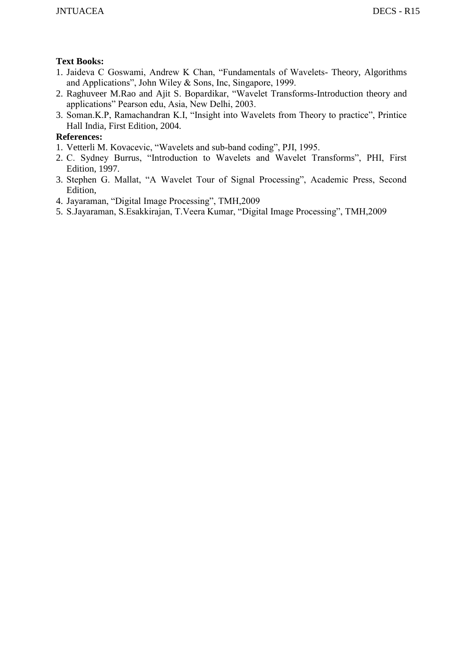## **Text Books:**

- 1. Jaideva C Goswami, Andrew K Chan, "Fundamentals of Wavelets- Theory, Algorithms and Applications", John Wiley & Sons, Inc, Singapore, 1999.
- 2. Raghuveer M.Rao and Ajit S. Bopardikar, "Wavelet Transforms-Introduction theory and applications" Pearson edu, Asia, New Delhi, 2003.
- 3. Soman.K.P, Ramachandran K.I, "Insight into Wavelets from Theory to practice", Printice Hall India, First Edition, 2004.

- 1. Vetterli M. Kovacevic, "Wavelets and sub-band coding", PJI, 1995.
- 2. C. Sydney Burrus, "Introduction to Wavelets and Wavelet Transforms", PHI, First Edition, 1997.
- 3. Stephen G. Mallat, "A Wavelet Tour of Signal Processing", Academic Press, Second Edition,
- 4. Jayaraman, "Digital Image Processing", TMH,2009
- 5. S.Jayaraman, S.Esakkirajan, T.Veera Kumar, "Digital Image Processing", TMH,2009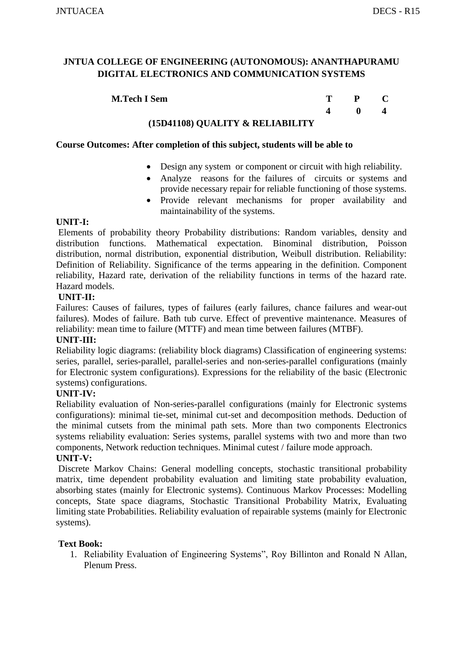| <b>M.Tech I Sem</b> | т | $\mathbf{P}$ |  |
|---------------------|---|--------------|--|
|                     |   |              |  |

#### **(15D41108) QUALITY & RELIABILITY**

#### **Course Outcomes: After completion of this subject, students will be able to**

- Design any system or component or circuit with high reliability.
- Analyze reasons for the failures of circuits or systems and provide necessary repair for reliable functioning of those systems.
- Provide relevant mechanisms for proper availability and maintainability of the systems.

#### **UNIT-I:**

Elements of probability theory Probability distributions: Random variables, density and distribution functions. Mathematical expectation. Binominal distribution, Poisson distribution, normal distribution, exponential distribution, Weibull distribution. Reliability: Definition of Reliability. Significance of the terms appearing in the definition. Component reliability, Hazard rate, derivation of the reliability functions in terms of the hazard rate. Hazard models.

#### **UNIT-II:**

Failures: Causes of failures, types of failures (early failures, chance failures and wear-out failures). Modes of failure. Bath tub curve. Effect of preventive maintenance. Measures of reliability: mean time to failure (MTTF) and mean time between failures (MTBF).

#### **UNIT-III:**

Reliability logic diagrams: (reliability block diagrams) Classification of engineering systems: series, parallel, series-parallel, parallel-series and non-series-parallel configurations (mainly for Electronic system configurations). Expressions for the reliability of the basic (Electronic systems) configurations.

#### **UNIT-IV:**

Reliability evaluation of Non-series-parallel configurations (mainly for Electronic systems configurations): minimal tie-set, minimal cut-set and decomposition methods. Deduction of the minimal cutsets from the minimal path sets. More than two components Electronics systems reliability evaluation: Series systems, parallel systems with two and more than two components, Network reduction techniques. Minimal cutest / failure mode approach.

#### **UNIT-V:**

Discrete Markov Chains: General modelling concepts, stochastic transitional probability matrix, time dependent probability evaluation and limiting state probability evaluation, absorbing states (mainly for Electronic systems). Continuous Markov Processes: Modelling concepts, State space diagrams, Stochastic Transitional Probability Matrix, Evaluating limiting state Probabilities. Reliability evaluation of repairable systems (mainly for Electronic systems).

## **Text Book:**

1. Reliability Evaluation of Engineering Systems", Roy Billinton and Ronald N Allan, Plenum Press.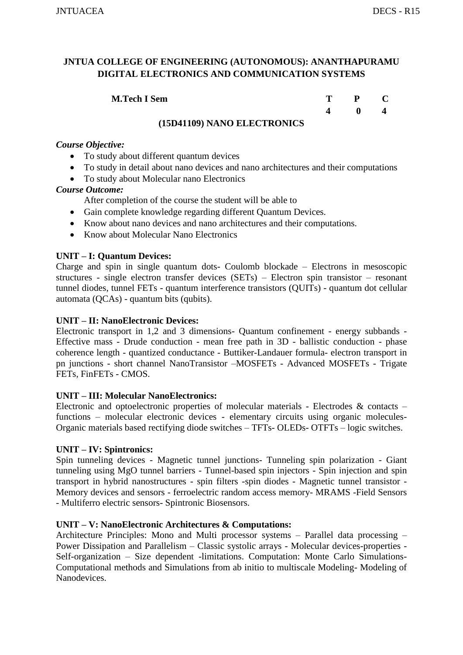| <b>M.Tech I Sem</b> | $T \t P \t C$ |                                     |
|---------------------|---------------|-------------------------------------|
|                     |               | $\begin{matrix} 0 & 4 \end{matrix}$ |

## **(15D41109) NANO ELECTRONICS**

#### *Course Objective:*

- To study about different quantum devices
- To study in detail about nano devices and nano architectures and their computations
- To study about Molecular nano Electronics

#### *Course Outcome:*

After completion of the course the student will be able to

- Gain complete knowledge regarding different Quantum Devices.
- Know about nano devices and nano architectures and their computations.
- Know about Molecular Nano Electronics

#### **UNIT – I: Quantum Devices:**

Charge and spin in single quantum dots- Coulomb blockade – Electrons in mesoscopic structures - single electron transfer devices (SETs) – Electron spin transistor – resonant tunnel diodes, tunnel FETs - quantum interference transistors (QUITs) - quantum dot cellular automata (QCAs) - quantum bits (qubits).

#### **UNIT – II: NanoElectronic Devices:**

Electronic transport in 1,2 and 3 dimensions- Quantum confinement - energy subbands - Effective mass - Drude conduction - mean free path in 3D - ballistic conduction - phase coherence length - quantized conductance - Buttiker-Landauer formula- electron transport in pn junctions - short channel NanoTransistor –MOSFETs - Advanced MOSFETs - Trigate FETs, FinFETs - CMOS.

#### **UNIT – III: Molecular NanoElectronics:**

Electronic and optoelectronic properties of molecular materials - Electrodes  $\&$  contacts – functions – molecular electronic devices - elementary circuits using organic molecules-Organic materials based rectifying diode switches – TFTs- OLEDs- OTFTs – logic switches.

#### **UNIT – IV: Spintronics:**

Spin tunneling devices - Magnetic tunnel junctions- Tunneling spin polarization - Giant tunneling using MgO tunnel barriers - Tunnel-based spin injectors - Spin injection and spin transport in hybrid nanostructures - spin filters -spin diodes - Magnetic tunnel transistor - Memory devices and sensors - ferroelectric random access memory- MRAMS -Field Sensors - Multiferro electric sensors- Spintronic Biosensors.

#### **UNIT – V: NanoElectronic Architectures & Computations:**

Architecture Principles: Mono and Multi processor systems – Parallel data processing – Power Dissipation and Parallelism – Classic systolic arrays - Molecular devices-properties - Self-organization – Size dependent -limitations. Computation: Monte Carlo Simulations-Computational methods and Simulations from ab initio to multiscale Modeling- Modeling of **Nanodevices**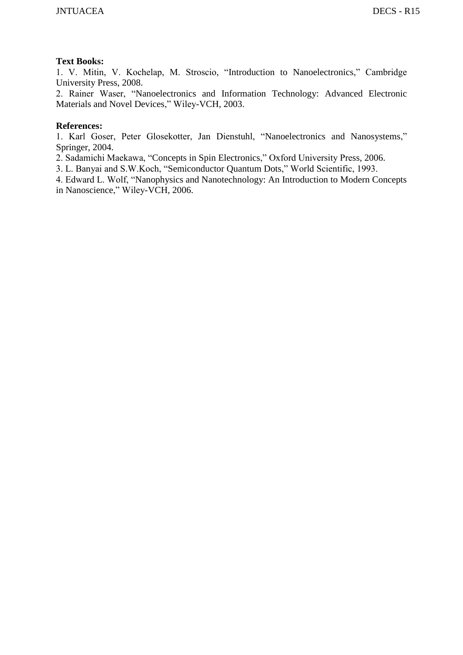#### **Text Books:**

1. V. Mitin, V. Kochelap, M. Stroscio, "Introduction to Nanoelectronics," Cambridge University Press, 2008.

2. Rainer Waser, "Nanoelectronics and Information Technology: Advanced Electronic Materials and Novel Devices," Wiley-VCH, 2003.

#### **References:**

1. Karl Goser, Peter Glosekotter, Jan Dienstuhl, "Nanoelectronics and Nanosystems," Springer, 2004.

2. Sadamichi Maekawa, "Concepts in Spin Electronics," Oxford University Press, 2006.

3. L. Banyai and S.W.Koch, "Semiconductor Quantum Dots," World Scientific, 1993.

4. Edward L. Wolf, "Nanophysics and Nanotechnology: An Introduction to Modern Concepts in Nanoscience," Wiley-VCH, 2006.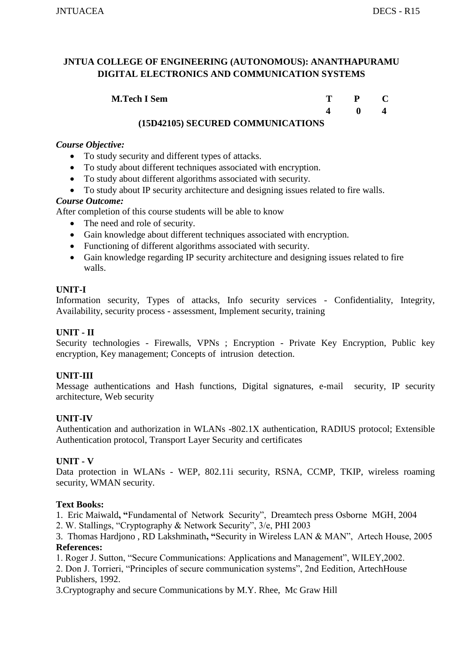| <b>M.Tech I Sem</b> | T - | $P$ C        |  |
|---------------------|-----|--------------|--|
|                     |     | $\mathbf{0}$ |  |

## **(15D42105) SECURED COMMUNICATIONS**

## *Course Objective:*

- To study security and different types of attacks.
- To study about different techniques associated with encryption.
- To study about different algorithms associated with security.
- To study about IP security architecture and designing issues related to fire walls.

## *Course Outcome:*

After completion of this course students will be able to know

- The need and role of security.
- Gain knowledge about different techniques associated with encryption.
- Functioning of different algorithms associated with security.
- Gain knowledge regarding IP security architecture and designing issues related to fire walls.

## **UNIT-I**

Information security, Types of attacks, Info security services - Confidentiality, Integrity, Availability, security process - assessment, Implement security, training

## **UNIT - II**

Security technologies - Firewalls, VPNs ; Encryption - Private Key Encryption, Public key encryption, Key management; Concepts of intrusion detection.

## **UNIT-III**

Message authentications and Hash functions, Digital signatures, e-mail security, IP security architecture, Web security

## **UNIT-IV**

Authentication and authorization in WLANs -802.1X authentication, RADIUS protocol; Extensible Authentication protocol, Transport Layer Security and certificates

## **UNIT - V**

Data protection in WLANs - WEP, 802.11i security, RSNA, CCMP, TKIP, wireless roaming security, WMAN security.

## **Text Books:**

1. Eric Maiwald**, "**Fundamental of Network Security", Dreamtech press Osborne MGH, 2004

2. W. Stallings, "Cryptography & Network Security", 3/e, PHI 2003

3. Thomas Hardjono , RD Lakshminath**, "**Security in Wireless LAN & MAN", Artech House, 2005 **References:**

1. Roger J. Sutton, "Secure Communications: Applications and Management", WILEY,2002.

2. Don J. Torrieri, "Principles of secure communication systems", 2nd Eedition, ArtechHouse Publishers, 1992.

3.Cryptography and secure Communications by M.Y. Rhee, Mc Graw Hill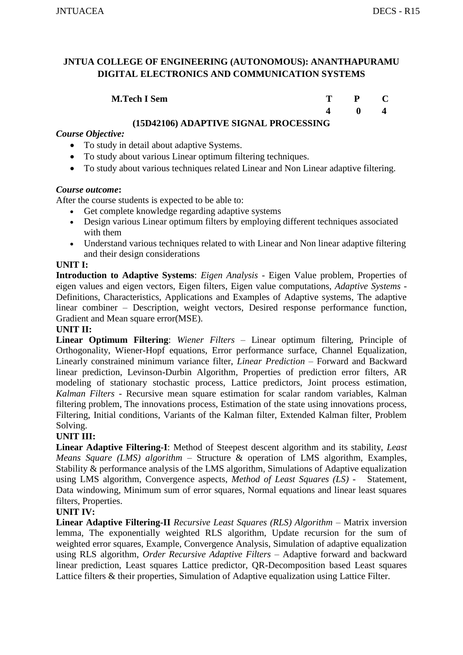| <b>M.Tech I Sem</b> | T – | $P$ C        |  |
|---------------------|-----|--------------|--|
|                     |     | $\mathbf{0}$ |  |

#### **(15D42106) ADAPTIVE SIGNAL PROCESSING**

## *Course Objective:*

- To study in detail about adaptive Systems.
- To study about various Linear optimum filtering techniques.
- To study about various techniques related Linear and Non Linear adaptive filtering.

#### *Course outcome***:**

After the course students is expected to be able to:

- Get complete knowledge regarding adaptive systems
- Design various Linear optimum filters by employing different techniques associated with them
- Understand various techniques related to with Linear and Non linear adaptive filtering and their design considerations

#### **UNIT I:**

**Introduction to Adaptive Systems**: *Eigen Analysis* - Eigen Value problem, Properties of eigen values and eigen vectors, Eigen filters, Eigen value computations, *Adaptive Systems* - Definitions, Characteristics, Applications and Examples of Adaptive systems, The adaptive linear combiner – Description, weight vectors, Desired response performance function, Gradient and Mean square error(MSE).

#### **UNIT II:**

**Linear Optimum Filtering**: *Wiener Filters* – Linear optimum filtering, Principle of Orthogonality, Wiener-Hopf equations, Error performance surface, Channel Equalization, Linearly constrained minimum variance filter, *Linear Prediction* – Forward and Backward linear prediction, Levinson-Durbin Algorithm, Properties of prediction error filters, AR modeling of stationary stochastic process, Lattice predictors, Joint process estimation, *Kalman Filters* - Recursive mean square estimation for scalar random variables, Kalman filtering problem, The innovations process, Estimation of the state using innovations process, Filtering, Initial conditions, Variants of the Kalman filter, Extended Kalman filter, Problem Solving.

## **UNIT III:**

**Linear Adaptive Filtering-I**: Method of Steepest descent algorithm and its stability, *Least Means Square (LMS) algorithm* – Structure & operation of LMS algorithm, Examples, Stability & performance analysis of the LMS algorithm, Simulations of Adaptive equalization using LMS algorithm, Convergence aspects, *Method of Least Squares (LS)* - Statement, Data windowing, Minimum sum of error squares, Normal equations and linear least squares filters, Properties.

#### **UNIT IV:**

**Linear Adaptive Filtering-II** *Recursive Least Squares (RLS) Algorithm* – Matrix inversion lemma, The exponentially weighted RLS algorithm, Update recursion for the sum of weighted error squares, Example, Convergence Analysis, Simulation of adaptive equalization using RLS algorithm, *Order Recursive Adaptive Filters* – Adaptive forward and backward linear prediction, Least squares Lattice predictor, QR-Decomposition based Least squares Lattice filters & their properties, Simulation of Adaptive equalization using Lattice Filter.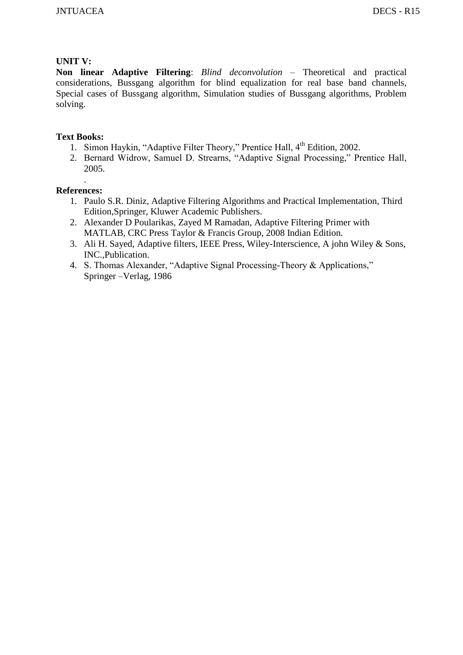## **UNIT V:**

**Non linear Adaptive Filtering**: *Blind deconvolution* – Theoretical and practical considerations, Bussgang algorithm for blind equalization for real base band channels, Special cases of Bussgang algorithm, Simulation studies of Bussgang algorithms, Problem solving.

## **Text Books:**

- 1. Simon Haykin, "Adaptive Filter Theory," Prentice Hall, 4<sup>th</sup> Edition, 2002.
- 2. Bernard Widrow, Samuel D. Strearns, "Adaptive Signal Processing," Prentice Hall, 2005.

- 1. Paulo S.R. Diniz, Adaptive Filtering Algorithms and Practical Implementation, Third Edition,Springer, Kluwer Academic Publishers.
- 2. Alexander D Poularikas, Zayed M Ramadan, Adaptive Filtering Primer with MATLAB, CRC Press Taylor & Francis Group, 2008 Indian Edition.
- 3. Ali H. Sayed, Adaptive filters, IEEE Press, Wiley-Interscience, A john Wiley & Sons, INC.,Publication.
- 4. S. Thomas Alexander, "Adaptive Signal Processing-Theory & Applications," Springer –Verlag, 1986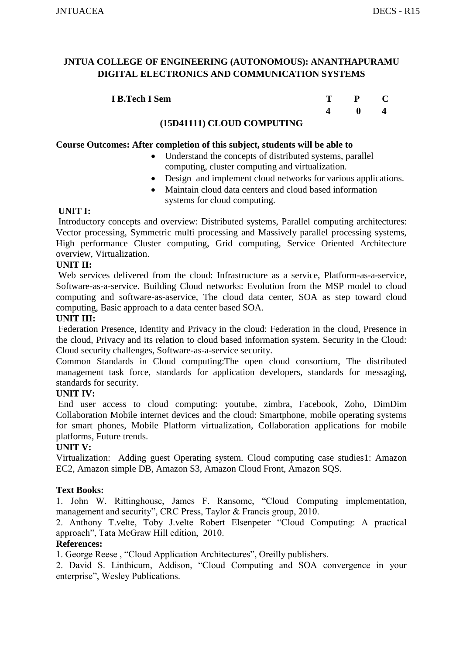| I B.Tech I Sem | $P \t C$ |  |
|----------------|----------|--|
|                |          |  |

#### **(15D41111) CLOUD COMPUTING**

#### **Course Outcomes: After completion of this subject, students will be able to**

- Understand the concepts of distributed systems, parallel computing, cluster computing and virtualization.
- Design and implement cloud networks for various applications.
- Maintain cloud data centers and cloud based information systems for cloud computing.

#### **UNIT I:**

Introductory concepts and overview: Distributed systems, Parallel computing architectures: Vector processing, Symmetric multi processing and Massively parallel processing systems, High performance Cluster computing, Grid computing, Service Oriented Architecture overview, Virtualization.

#### **UNIT II:**

Web services delivered from the cloud: Infrastructure as a service, Platform-as-a-service, Software-as-a-service. Building Cloud networks: Evolution from the MSP model to cloud computing and software-as-aservice, The cloud data center, SOA as step toward cloud computing, Basic approach to a data center based SOA.

#### **UNIT III:**

Federation Presence, Identity and Privacy in the cloud: Federation in the cloud, Presence in the cloud, Privacy and its relation to cloud based information system. Security in the Cloud: Cloud security challenges, Software-as-a-service security.

Common Standards in Cloud computing:The open cloud consortium, The distributed management task force, standards for application developers, standards for messaging, standards for security.

## **UNIT IV:**

End user access to cloud computing: youtube, zimbra, Facebook, Zoho, DimDim Collaboration Mobile internet devices and the cloud: Smartphone, mobile operating systems for smart phones, Mobile Platform virtualization, Collaboration applications for mobile platforms, Future trends.

## **UNIT V:**

Virtualization: Adding guest Operating system. Cloud computing case studies1: Amazon EC2, Amazon simple DB, Amazon S3, Amazon Cloud Front, Amazon SQS.

## **Text Books:**

1. John W. Rittinghouse, James F. Ransome, "Cloud Computing implementation, management and security", CRC Press, Taylor & Francis group, 2010.

2. Anthony T.velte, Toby J.velte Robert Elsenpeter "Cloud Computing: A practical approach", Tata McGraw Hill edition, 2010.

#### **References:**

1. George Reese , "Cloud Application Architectures", Oreilly publishers.

2. David S. Linthicum, Addison, "Cloud Computing and SOA convergence in your enterprise", Wesley Publications.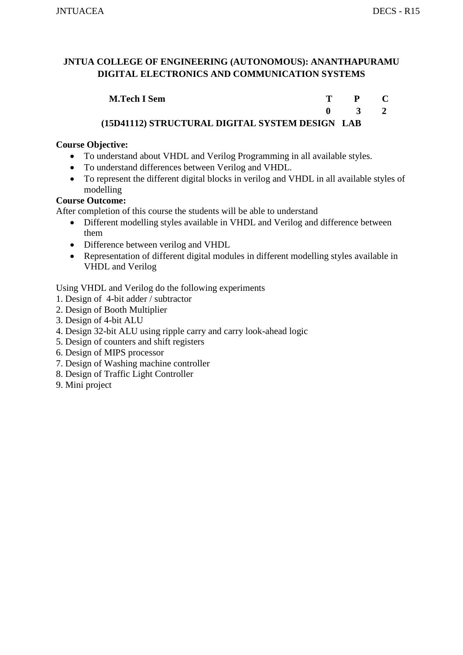| <b>M.Tech I Sem</b>                             | T P C         |  |
|-------------------------------------------------|---------------|--|
|                                                 | $0 \t 3 \t 2$ |  |
| (15D41112) STRUCTURAL DIGITAL SYSTEM DESIGN LAB |               |  |

## **Course Objective:**

- To understand about VHDL and Verilog Programming in all available styles.
- To understand differences between Verilog and VHDL.
- To represent the different digital blocks in verilog and VHDL in all available styles of modelling

## **Course Outcome:**

After completion of this course the students will be able to understand

- Different modelling styles available in VHDL and Verilog and difference between them
- Difference between verilog and VHDL
- Representation of different digital modules in different modelling styles available in VHDL and Verilog

Using VHDL and Verilog do the following experiments

- 1. Design of 4-bit adder / subtractor
- 2. Design of Booth Multiplier
- 3. Design of 4-bit ALU
- 4. Design 32-bit ALU using ripple carry and carry look-ahead logic
- 5. Design of counters and shift registers
- 6. Design of MIPS processor
- 7. Design of Washing machine controller
- 8. Design of Traffic Light Controller
- 9. Mini project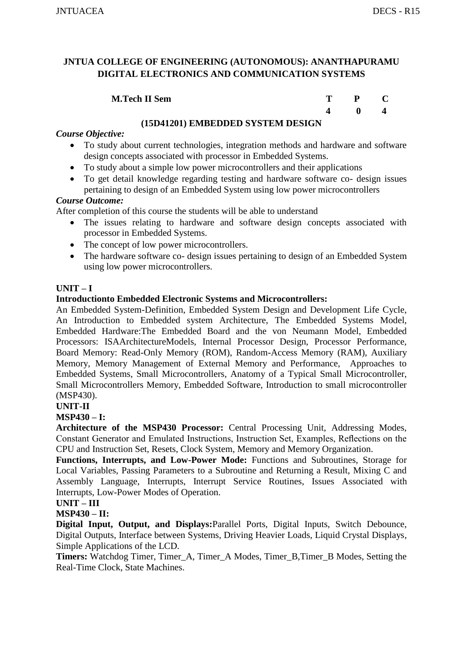| <b>M.Tech II Sem</b> | m | $\mathbf{P}$ |  |
|----------------------|---|--------------|--|
|                      |   | 0            |  |

#### **(15D41201) EMBEDDED SYSTEM DESIGN**

#### *Course Objective:*

- To study about current technologies, integration methods and hardware and software design concepts associated with processor in Embedded Systems.
- To study about a simple low power microcontrollers and their applications
- To get detail knowledge regarding testing and hardware software co- design issues pertaining to design of an Embedded System using low power microcontrollers

#### *Course Outcome:*

After completion of this course the students will be able to understand

- The issues relating to hardware and software design concepts associated with processor in Embedded Systems.
- The concept of low power microcontrollers.
- The hardware software co- design issues pertaining to design of an Embedded System using low power microcontrollers.

#### **UNIT – I**

#### **Introductionto Embedded Electronic Systems and Microcontrollers:**

An Embedded System-Definition, Embedded System Design and Development Life Cycle, An Introduction to Embedded system Architecture, The Embedded Systems Model, Embedded Hardware:The Embedded Board and the von Neumann Model, Embedded Processors: ISAArchitectureModels, Internal Processor Design, Processor Performance, Board Memory: Read-Only Memory (ROM), Random-Access Memory (RAM), Auxiliary Memory, Memory Management of External Memory and Performance, Approaches to Embedded Systems, Small Microcontrollers, Anatomy of a Typical Small Microcontroller, Small Microcontrollers Memory, Embedded Software, Introduction to small microcontroller (MSP430).

#### **UNIT-II**

## **MSP430 – I:**

**Architecture of the MSP430 Processor:** Central Processing Unit, Addressing Modes, Constant Generator and Emulated Instructions, Instruction Set, Examples, Reflections on the CPU and Instruction Set, Resets, Clock System, Memory and Memory Organization.

**Functions, Interrupts, and Low-Power Mode:** Functions and Subroutines, Storage for Local Variables, Passing Parameters to a Subroutine and Returning a Result, Mixing C and Assembly Language, Interrupts, Interrupt Service Routines, Issues Associated with Interrupts, Low-Power Modes of Operation.

#### **UNIT – III**

## **MSP430 – II:**

**Digital Input, Output, and Displays:**Parallel Ports, Digital Inputs, Switch Debounce, Digital Outputs, Interface between Systems, Driving Heavier Loads, Liquid Crystal Displays, Simple Applications of the LCD.

**Timers:** Watchdog Timer, Timer\_A, Timer\_A Modes, Timer\_B,Timer\_B Modes, Setting the Real-Time Clock, State Machines.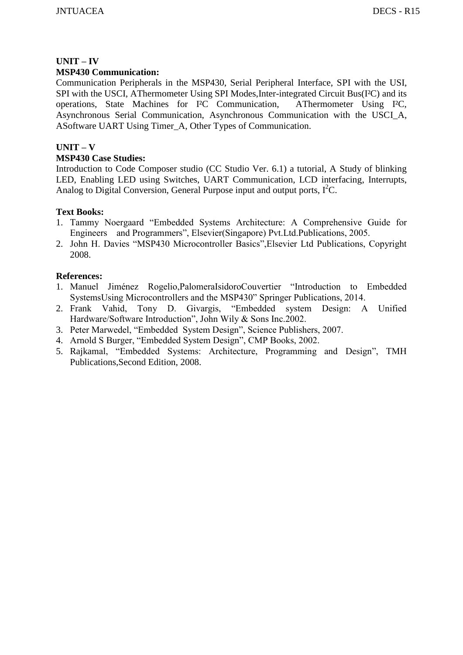# **UNIT – IV**

## **MSP430 Communication:**

Communication Peripherals in the MSP430, Serial Peripheral Interface, SPI with the USI, SPI with the USCI, AThermometer Using SPI Modes,Inter-integrated Circuit Bus(I²C) and its operations, State Machines for I²C Communication, AThermometer Using I²C, Asynchronous Serial Communication, Asynchronous Communication with the USCI\_A, ASoftware UART Using Timer\_A, Other Types of Communication.

## **UNIT – V**

## **MSP430 Case Studies:**

Introduction to Code Composer studio (CC Studio Ver. 6.1) a tutorial, A Study of blinking LED, Enabling LED using Switches, UART Communication, LCD interfacing, Interrupts, Analog to Digital Conversion, General Purpose input and output ports,  $I^2C$ .

## **Text Books:**

- 1. Tammy Noergaard "Embedded Systems Architecture: A Comprehensive Guide for Engineers and Programmers", Elsevier(Singapore) Pvt.Ltd.Publications, 2005.
- 2. John H. Davies "MSP430 Microcontroller Basics",Elsevier Ltd Publications, Copyright 2008.

- 1. Manuel Jiménez Rogelio,PalomeraIsidoroCouvertier "Introduction to Embedded SystemsUsing Microcontrollers and the MSP430" Springer Publications, 2014.
- 2. Frank Vahid, Tony D. Givargis, "Embedded system Design: A Unified Hardware/Software Introduction", John Wily & Sons Inc.2002.
- 3. Peter Marwedel, "Embedded System Design", Science Publishers, 2007.
- 4. Arnold S Burger, "Embedded System Design", CMP Books, 2002.
- 5. Rajkamal, "Embedded Systems: Architecture, Programming and Design", TMH Publications,Second Edition, 2008.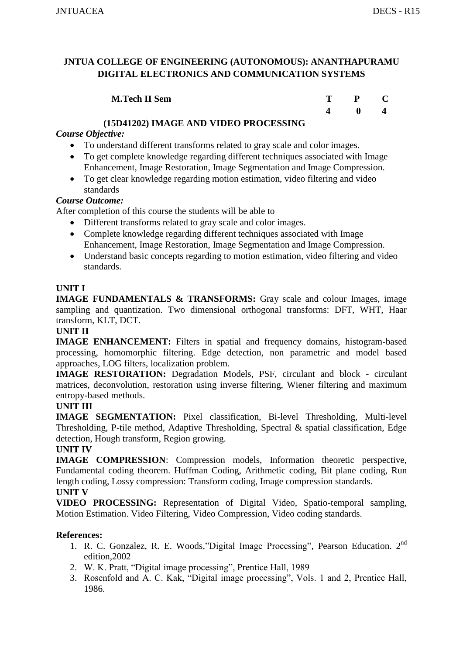| <b>M.Tech II Sem</b> | T. | $P \t C$ |  |
|----------------------|----|----------|--|
|                      |    |          |  |

## **(15D41202) IMAGE AND VIDEO PROCESSING**

## *Course Objective:*

- To understand different transforms related to gray scale and color images.
- To get complete knowledge regarding different techniques associated with Image Enhancement, Image Restoration, Image Segmentation and Image Compression.
- To get clear knowledge regarding motion estimation, video filtering and video standards

## *Course Outcome:*

After completion of this course the students will be able to

- Different transforms related to gray scale and color images.
- Complete knowledge regarding different techniques associated with Image Enhancement, Image Restoration, Image Segmentation and Image Compression.
- Understand basic concepts regarding to motion estimation, video filtering and video standards.

## **UNIT I**

**IMAGE FUNDAMENTALS & TRANSFORMS:** Gray scale and colour Images, image sampling and quantization. Two dimensional orthogonal transforms: DFT, WHT, Haar transform, KLT, DCT.

## **UNIT II**

**IMAGE ENHANCEMENT:** Filters in spatial and frequency domains, histogram-based processing, homomorphic filtering. Edge detection, non parametric and model based approaches, LOG filters, localization problem.

**IMAGE RESTORATION:** Degradation Models, PSF, circulant and block - circulant matrices, deconvolution, restoration using inverse filtering, Wiener filtering and maximum entropy-based methods.

## **UNIT III**

**IMAGE SEGMENTATION:** Pixel classification, Bi-level Thresholding, Multi-level Thresholding, P-tile method, Adaptive Thresholding, Spectral & spatial classification, Edge detection, Hough transform, Region growing.

## **UNIT IV**

**IMAGE COMPRESSION**: Compression models, Information theoretic perspective, Fundamental coding theorem. Huffman Coding, Arithmetic coding, Bit plane coding, Run length coding, Lossy compression: Transform coding, Image compression standards. **UNIT V**

**VIDEO PROCESSING:** Representation of Digital Video, Spatio-temporal sampling, Motion Estimation. Video Filtering, Video Compression, Video coding standards.

- 1. R. C. Gonzalez, R. E. Woods*,*"Digital Image Processing"*,* Pearson Education. 2nd edition,2002
- 2. W. K. Pratt, "Digital image processing", Prentice Hall, 1989
- 3. Rosenfold and A. C. Kak, "Digital image processing", Vols. 1 and 2, Prentice Hall, 1986.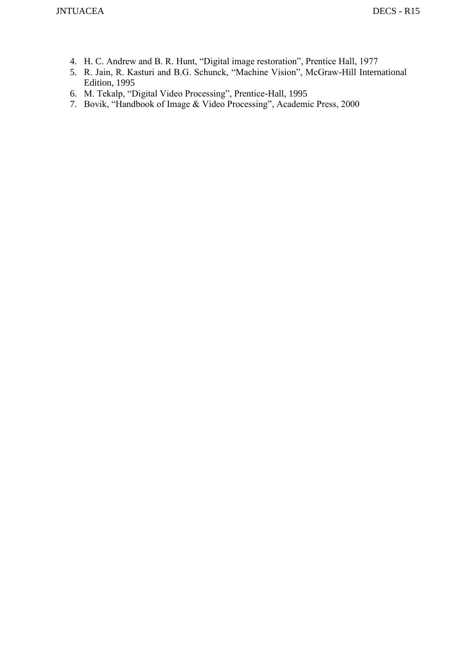- 4. H. C. Andrew and B. R. Hunt, "Digital image restoration", Prentice Hall, 1977
- 5. R. Jain, R. Kasturi and B.G. Schunck, "Machine Vision", McGraw-Hill International Edition, 1995
- 6. M. Tekalp, "Digital Video Processing", Prentice-Hall, 1995
- 7. Bovik, "Handbook of Image & Video Processing", Academic Press, 2000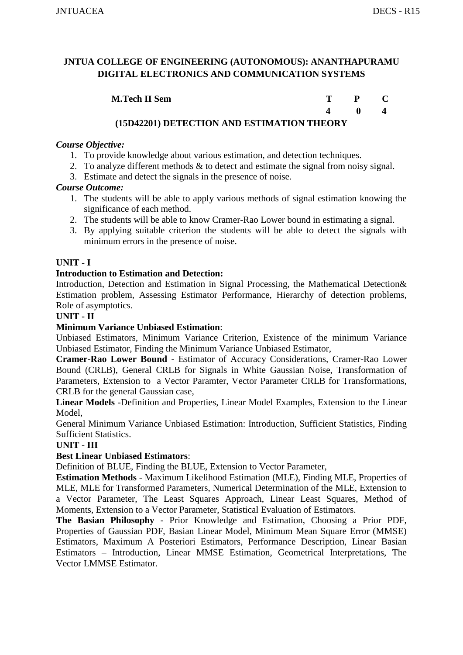| <b>M.Tech II Sem</b>                                                                                           |  |  |
|----------------------------------------------------------------------------------------------------------------|--|--|
|                                                                                                                |  |  |
| $A$ in 14404) in their order of $\lambda$ is the football of $\lambda$ of $\lambda$ is defined of $\lambda$ is |  |  |

## **(15D42201) DETECTION AND ESTIMATION THEORY**

#### *Course Objective:*

- 1. To provide knowledge about various estimation, and detection techniques.
- 2. To analyze different methods & to detect and estimate the signal from noisy signal.
- 3. Estimate and detect the signals in the presence of noise.

#### *Course Outcome:*

- 1. The students will be able to apply various methods of signal estimation knowing the significance of each method.
- 2. The students will be able to know Cramer-Rao Lower bound in estimating a signal.
- 3. By applying suitable criterion the students will be able to detect the signals with minimum errors in the presence of noise.

#### **UNIT - I**

#### **Introduction to Estimation and Detection:**

Introduction, Detection and Estimation in Signal Processing, the Mathematical Detection& Estimation problem, Assessing Estimator Performance, Hierarchy of detection problems, Role of asymptotics.

#### **UNIT - II**

#### **Minimum Variance Unbiased Estimation**:

Unbiased Estimators, Minimum Variance Criterion, Existence of the minimum Variance Unbiased Estimator, Finding the Minimum Variance Unbiased Estimator,

**Cramer-Rao Lower Bound** - Estimator of Accuracy Considerations, Cramer-Rao Lower Bound (CRLB), General CRLB for Signals in White Gaussian Noise, Transformation of Parameters, Extension to a Vector Paramter, Vector Parameter CRLB for Transformations, CRLB for the general Gaussian case,

**Linear Models** -Definition and Properties, Linear Model Examples, Extension to the Linear Model,

General Minimum Variance Unbiased Estimation: Introduction, Sufficient Statistics, Finding Sufficient Statistics.

#### **UNIT - III**

#### **Best Linear Unbiased Estimators**:

Definition of BLUE, Finding the BLUE, Extension to Vector Parameter,

**Estimation Methods** - Maximum Likelihood Estimation (MLE), Finding MLE, Properties of MLE, MLE for Transformed Parameters, Numerical Determination of the MLE, Extension to a Vector Parameter, The Least Squares Approach, Linear Least Squares, Method of Moments, Extension to a Vector Parameter, Statistical Evaluation of Estimators.

**The Basian Philosophy** - Prior Knowledge and Estimation, Choosing a Prior PDF, Properties of Gaussian PDF, Basian Linear Model, Minimum Mean Square Error (MMSE) Estimators, Maximum A Posteriori Estimators, Performance Description, Linear Basian Estimators – Introduction, Linear MMSE Estimation, Geometrical Interpretations, The Vector LMMSE Estimator.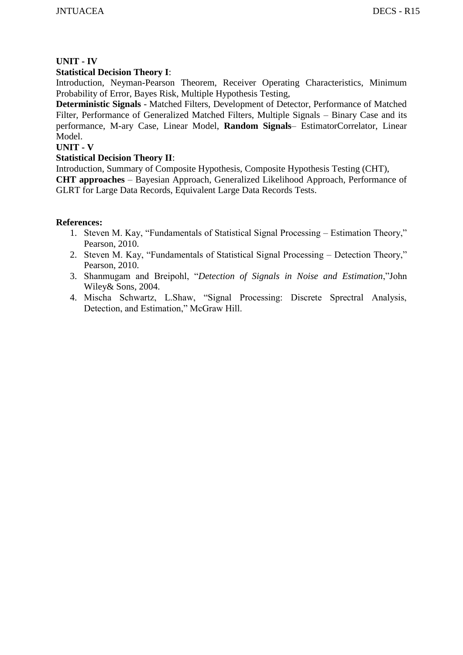## **UNIT - IV**

## **Statistical Decision Theory I**:

Introduction, Neyman-Pearson Theorem, Receiver Operating Characteristics, Minimum Probability of Error, Bayes Risk, Multiple Hypothesis Testing,

**Deterministic Signals** - Matched Filters, Development of Detector, Performance of Matched Filter, Performance of Generalized Matched Filters, Multiple Signals – Binary Case and its performance, M-ary Case, Linear Model, **Random Signals**– EstimatorCorrelator, Linear Model.

#### **UNIT - V**

#### **Statistical Decision Theory II**:

Introduction, Summary of Composite Hypothesis, Composite Hypothesis Testing (CHT), **CHT approaches** – Bayesian Approach, Generalized Likelihood Approach, Performance of GLRT for Large Data Records, Equivalent Large Data Records Tests.

- 1. Steven M. Kay, "Fundamentals of Statistical Signal Processing Estimation Theory," Pearson, 2010.
- 2. Steven M. Kay, "Fundamentals of Statistical Signal Processing Detection Theory," Pearson, 2010.
- 3. Shanmugam and Breipohl, "*Detection of Signals in Noise and Estimation*,"John Wiley& Sons, 2004.
- 4. Mischa Schwartz, L.Shaw, "Signal Processing: Discrete Sprectral Analysis, Detection, and Estimation," McGraw Hill.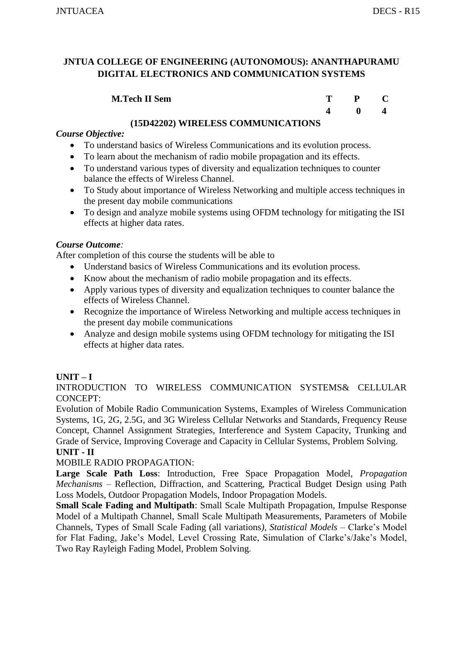| <b>M.Tech II Sem</b> | m |              |  |
|----------------------|---|--------------|--|
|                      |   | $\mathbf{0}$ |  |

#### **(15D42202) WIRELESS COMMUNICATIONS**

#### *Course Objective:*

- To understand basics of Wireless Communications and its evolution process.
- To learn about the mechanism of radio mobile propagation and its effects.
- To understand various types of diversity and equalization techniques to counter balance the effects of Wireless Channel.
- To Study about importance of Wireless Networking and multiple access techniques in the present day mobile communications
- To design and analyze mobile systems using OFDM technology for mitigating the ISI effects at higher data rates.

#### *Course Outcome:*

After completion of this course the students will be able to

- Understand basics of Wireless Communications and its evolution process.
- Know about the mechanism of radio mobile propagation and its effects.
- Apply various types of diversity and equalization techniques to counter balance the effects of Wireless Channel.
- Recognize the importance of Wireless Networking and multiple access techniques in the present day mobile communications
- Analyze and design mobile systems using OFDM technology for mitigating the ISI effects at higher data rates.

## **UNIT – I**

INTRODUCTION TO WIRELESS COMMUNICATION SYSTEMS& CELLULAR CONCEPT:

Evolution of Mobile Radio Communication Systems, Examples of Wireless Communication Systems, 1G, 2G, 2.5G, and 3G Wireless Cellular Networks and Standards, Frequency Reuse Concept, Channel Assignment Strategies, Interference and System Capacity, Trunking and Grade of Service, Improving Coverage and Capacity in Cellular Systems, Problem Solving. **UNIT - II**

#### MOBILE RADIO PROPAGATION:

**Large Scale Path Loss**: Introduction, Free Space Propagation Model, *Propagation Mechanisms* – Reflection, Diffraction, and Scattering, Practical Budget Design using Path Loss Models, Outdoor Propagation Models, Indoor Propagation Models.

**Small Scale Fading and Multipath**: Small Scale Multipath Propagation, Impulse Response Model of a Multipath Channel, Small Scale Multipath Measurements, Parameters of Mobile Channels, Types of Small Scale Fading (all variations*), Statistical Models* – Clarke's Model for Flat Fading, Jake's Model, Level Crossing Rate, Simulation of Clarke's/Jake's Model, Two Ray Rayleigh Fading Model, Problem Solving.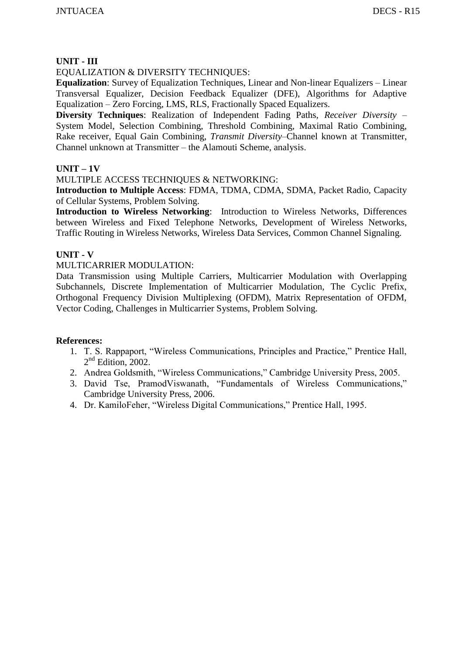#### **UNIT - III**

#### EQUALIZATION & DIVERSITY TECHNIQUES:

**Equalization**: Survey of Equalization Techniques, Linear and Non-linear Equalizers – Linear Transversal Equalizer, Decision Feedback Equalizer (DFE), Algorithms for Adaptive Equalization – Zero Forcing, LMS, RLS, Fractionally Spaced Equalizers.

**Diversity Techniques**: Realization of Independent Fading Paths, *Receiver Diversity* – System Model, Selection Combining, Threshold Combining, Maximal Ratio Combining, Rake receiver, Equal Gain Combining, *Transmit Diversity*–Channel known at Transmitter, Channel unknown at Transmitter – the Alamouti Scheme, analysis.

#### **UNIT – 1V**

#### MULTIPLE ACCESS TECHNIQUES & NETWORKING:

**Introduction to Multiple Access**: FDMA, TDMA, CDMA, SDMA, Packet Radio, Capacity of Cellular Systems, Problem Solving.

**Introduction to Wireless Networking**: Introduction to Wireless Networks, Differences between Wireless and Fixed Telephone Networks, Development of Wireless Networks, Traffic Routing in Wireless Networks, Wireless Data Services, Common Channel Signaling.

#### **UNIT - V**

#### MULTICARRIER MODULATION:

Data Transmission using Multiple Carriers, Multicarrier Modulation with Overlapping Subchannels, Discrete Implementation of Multicarrier Modulation, The Cyclic Prefix, Orthogonal Frequency Division Multiplexing (OFDM), Matrix Representation of OFDM, Vector Coding, Challenges in Multicarrier Systems, Problem Solving.

- 1. T. S. Rappaport, "Wireless Communications, Principles and Practice," Prentice Hall,  $2<sup>nd</sup>$  Edition, 2002.
- 2. Andrea Goldsmith, "Wireless Communications," Cambridge University Press, 2005.
- 3. David Tse, PramodViswanath, "Fundamentals of Wireless Communications," Cambridge University Press, 2006.
- 4. Dr. KamiloFeher, "Wireless Digital Communications," Prentice Hall, 1995.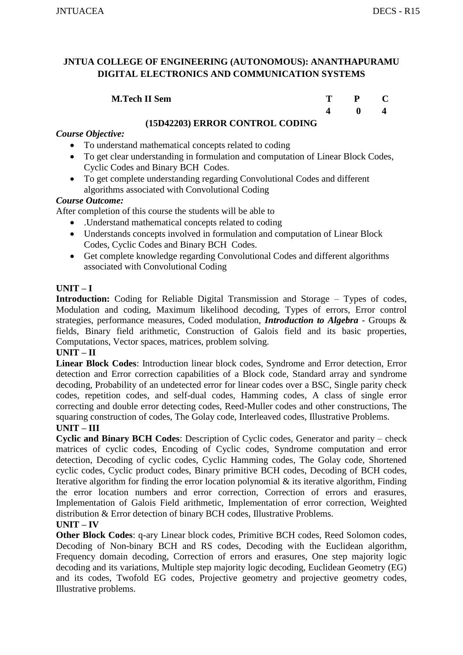| <b>M.Tech II Sem</b> | т | $\mathbf{P}$ |  |
|----------------------|---|--------------|--|
|                      |   |              |  |

## **(15D42203) ERROR CONTROL CODING**

## *Course Objective:*

- To understand mathematical concepts related to coding
- To get clear understanding in formulation and computation of Linear Block Codes, Cyclic Codes and Binary BCH Codes.
- To get complete understanding regarding Convolutional Codes and different algorithms associated with Convolutional Coding

#### *Course Outcome:*

After completion of this course the students will be able to

- .Understand mathematical concepts related to coding
- Understands concepts involved in formulation and computation of Linear Block Codes, Cyclic Codes and Binary BCH Codes.
- Get complete knowledge regarding Convolutional Codes and different algorithms associated with Convolutional Coding

## **UNIT – I**

**Introduction:** Coding for Reliable Digital Transmission and Storage – Types of codes, Modulation and coding, Maximum likelihood decoding, Types of errors, Error control strategies, performance measures, Coded modulation, *Introduction to Algebra* - Groups & fields, Binary field arithmetic, Construction of Galois field and its basic properties, Computations, Vector spaces, matrices, problem solving.

#### **UNIT – II**

**Linear Block Codes**: Introduction linear block codes, Syndrome and Error detection, Error detection and Error correction capabilities of a Block code, Standard array and syndrome decoding, Probability of an undetected error for linear codes over a BSC, Single parity check codes, repetition codes, and self-dual codes, Hamming codes, A class of single error correcting and double error detecting codes, Reed-Muller codes and other constructions, The squaring construction of codes, The Golay code, Interleaved codes, Illustrative Problems.

#### **UNIT – III**

**Cyclic and Binary BCH Codes**: Description of Cyclic codes, Generator and parity – check matrices of cyclic codes, Encoding of Cyclic codes, Syndrome computation and error detection, Decoding of cyclic codes, Cyclic Hamming codes, The Golay code, Shortened cyclic codes, Cyclic product codes, Binary primitive BCH codes, Decoding of BCH codes, Iterative algorithm for finding the error location polynomial  $\&$  its iterative algorithm, Finding the error location numbers and error correction, Correction of errors and erasures, Implementation of Galois Field arithmetic, Implementation of error correction, Weighted distribution & Error detection of binary BCH codes, Illustrative Problems.

#### **UNIT – IV**

**Other Block Codes**: q-ary Linear block codes, Primitive BCH codes, Reed Solomon codes, Decoding of Non-binary BCH and RS codes, Decoding with the Euclidean algorithm, Frequency domain decoding, Correction of errors and erasures, One step majority logic decoding and its variations, Multiple step majority logic decoding, Euclidean Geometry (EG) and its codes, Twofold EG codes, Projective geometry and projective geometry codes, Illustrative problems.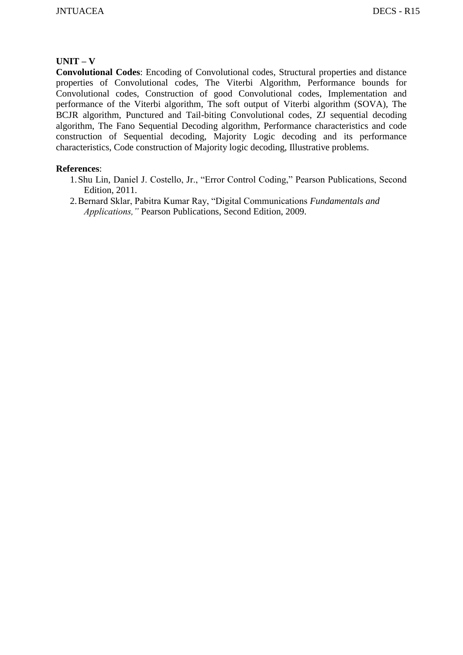#### **UNIT – V**

**Convolutional Codes**: Encoding of Convolutional codes, Structural properties and distance properties of Convolutional codes, The Viterbi Algorithm, Performance bounds for Convolutional codes, Construction of good Convolutional codes, Implementation and performance of the Viterbi algorithm, The soft output of Viterbi algorithm (SOVA), The BCJR algorithm, Punctured and Tail-biting Convolutional codes, ZJ sequential decoding algorithm, The Fano Sequential Decoding algorithm, Performance characteristics and code construction of Sequential decoding, Majority Logic decoding and its performance characteristics, Code construction of Majority logic decoding, Illustrative problems.

- 1.Shu Lin, Daniel J. Costello, Jr., "Error Control Coding," Pearson Publications, Second Edition, 2011.
- 2.Bernard Sklar, Pabitra Kumar Ray, "Digital Communications *Fundamentals and Applications,"* Pearson Publications, Second Edition, 2009.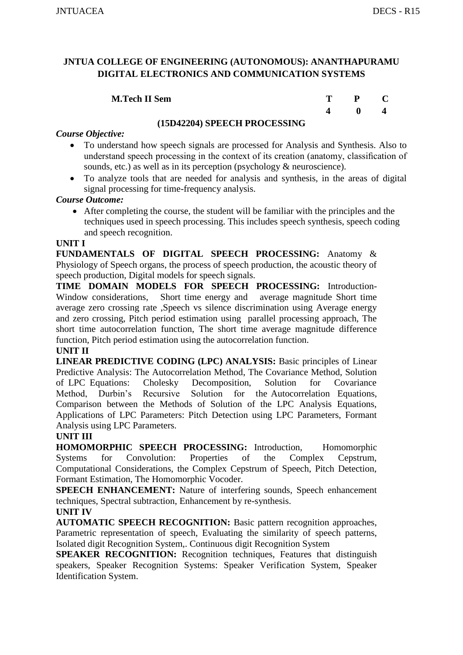| <b>M.Tech II Sem</b> | T. | P C          |  |
|----------------------|----|--------------|--|
|                      |    | $\mathbf{0}$ |  |

#### **(15D42204) SPEECH PROCESSING**

#### *Course Objective:*

- To understand how speech signals are processed for Analysis and Synthesis. Also to understand speech processing in the context of its creation (anatomy, classification of sounds, etc.) as well as in its perception (psychology & neuroscience).
- To analyze tools that are needed for analysis and synthesis, in the areas of digital signal processing for time-frequency analysis.

#### *Course Outcome:*

 After completing the course, the student will be familiar with the principles and the techniques used in speech processing. This includes speech synthesis, speech coding and speech recognition.

#### **UNIT I**

**FUNDAMENTALS OF DIGITAL SPEECH PROCESSING:** Anatomy & Physiology of Speech organs, the process of speech production, the acoustic theory of speech production, Digital models for speech signals.

**TIME DOMAIN MODELS FOR SPEECH PROCESSING:** Introduction-Window considerations, Short time energy and average magnitude Short time average zero crossing rate ,Speech vs silence discrimination using Average energy and zero crossing, Pitch period estimation using parallel processing approach, The short time autocorrelation function, The short time average magnitude difference function, Pitch period estimation using the autocorrelation function.

## **UNIT II**

**LINEAR PREDICTIVE CODING (LPC) ANALYSIS:** Basic principles of Linear Predictive Analysis: The Autocorrelation Method, The Covariance Method, Solution of LPC Equations: Cholesky Decomposition, Solution for Covariance Method, Durbin's Recursive Solution for the Autocorrelation Equations, Comparison between the Methods of Solution of the LPC Analysis Equations, Applications of LPC Parameters: Pitch Detection using LPC Parameters, Formant Analysis using LPC Parameters.

#### **UNIT III**

**HOMOMORPHIC SPEECH PROCESSING:** Introduction, Homomorphic Systems for Convolution: Properties of the Complex Cepstrum, Computational Considerations, the Complex Cepstrum of Speech, Pitch Detection, Formant Estimation, The Homomorphic Vocoder.

**SPEECH ENHANCEMENT:** Nature of interfering sounds, Speech enhancement techniques, Spectral subtraction, Enhancement by re-synthesis.

## **UNIT IV**

**AUTOMATIC SPEECH RECOGNITION:** Basic pattern recognition approaches, Parametric representation of speech, Evaluating the similarity of speech patterns, Isolated digit Recognition System,. Continuous digit Recognition System

**SPEAKER RECOGNITION:** Recognition techniques, Features that distinguish speakers, Speaker Recognition Systems: Speaker Verification System, Speaker Identification System.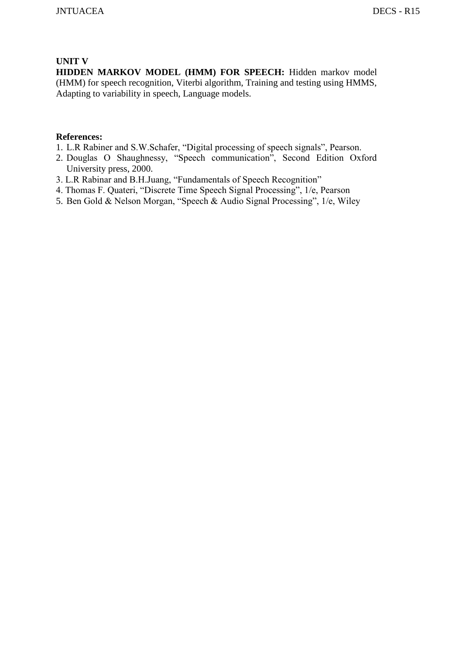#### **UNIT V**

**HIDDEN MARKOV MODEL (HMM) FOR SPEECH:** Hidden markov model (HMM) for speech recognition, Viterbi algorithm, Training and testing using HMMS, Adapting to variability in speech, Language models.

- 1. L.R Rabiner and S.W.Schafer, "Digital processing of speech signals", Pearson.
- 2. Douglas O Shaughnessy, "Speech communication", Second Edition Oxford University press, 2000.
- 3. L.R Rabinar and B.H.Juang, "Fundamentals of Speech Recognition"
- 4. Thomas F. Quateri, "Discrete Time Speech Signal Processing", 1/e, Pearson
- 5. Ben Gold & Nelson Morgan, "Speech & Audio Signal Processing", 1/e, Wiley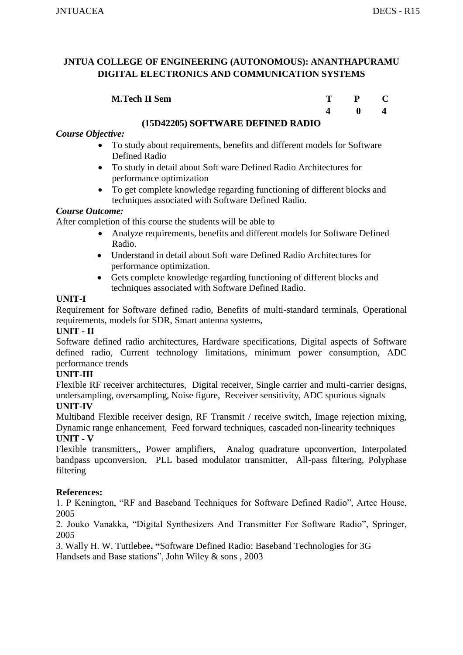| <b>M.Tech II Sem</b> |   |  |
|----------------------|---|--|
|                      | 0 |  |

#### **(15D42205) SOFTWARE DEFINED RADIO**

## *Course Objective:*

- To study about requirements, benefits and different models for Software Defined Radio
- To study in detail about Soft ware Defined Radio Architectures for performance optimization
- To get complete knowledge regarding functioning of different blocks and techniques associated with Software Defined Radio.

#### *Course Outcome:*

After completion of this course the students will be able to

- Analyze requirements, benefits and different models for Software Defined Radio.
- Understand in detail about Soft ware Defined Radio Architectures for performance optimization.
- Gets complete knowledge regarding functioning of different blocks and techniques associated with Software Defined Radio.

## **UNIT-I**

Requirement for Software defined radio, Benefits of multi-standard terminals, Operational requirements, models for SDR, Smart antenna systems,

#### **UNIT - II**

Software defined radio architectures, Hardware specifications, Digital aspects of Software defined radio, Current technology limitations, minimum power consumption, ADC performance trends

#### **UNIT-III**

Flexible RF receiver architectures, Digital receiver, Single carrier and multi-carrier designs, undersampling, oversampling, Noise figure, Receiver sensitivity, ADC spurious signals **UNIT-IV**

Multiband Flexible receiver design, RF Transmit / receive switch, Image rejection mixing, Dynamic range enhancement, Feed forward techniques, cascaded non-linearity techniques **UNIT - V**

Flexible transmitters,, Power amplifiers, Analog quadrature upconvertion, Interpolated bandpass upconversion, PLL based modulator transmitter, All-pass filtering, Polyphase filtering

#### **References:**

1. P Kenington, "RF and Baseband Techniques for Software Defined Radio", Artec House, 2005

2. Jouko Vanakka, "Digital Synthesizers And Transmitter For Software Radio", Springer, 2005

3. Wally H. W. Tuttlebee**, "**Software Defined Radio: Baseband Technologies for 3G Handsets and Base stations", John Wiley & sons , 2003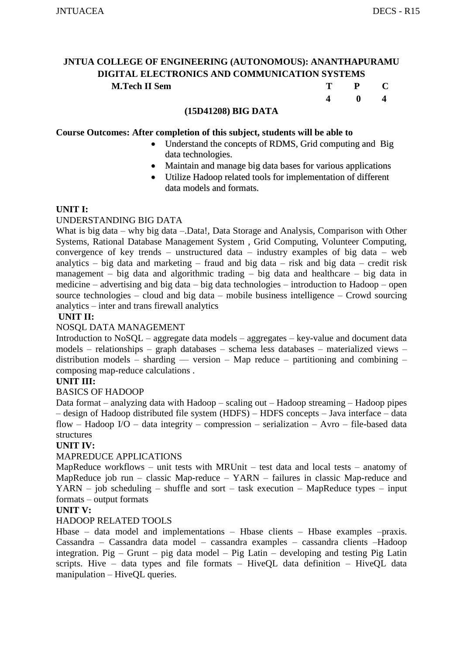#### **(15D41208) BIG DATA**

#### **Course Outcomes: After completion of this subject, students will be able to**

• Understand the concepts of RDMS, Grid computing and Big data technologies.

 **4 0 4** 

- Maintain and manage big data bases for various applications
- Utilize Hadoop related tools for implementation of different data models and formats.

#### **UNIT I:**

#### UNDERSTANDING BIG DATA

What is big data – why big data – Data!, Data Storage and Analysis, Comparison with Other Systems, Rational Database Management System , Grid Computing, Volunteer Computing, convergence of key trends – unstructured data – industry examples of big data – web analytics – big data and marketing – fraud and big data – risk and big data – credit risk management – big data and algorithmic trading – big data and healthcare – big data in medicine – advertising and big data – big data technologies – introduction to Hadoop – open source technologies – cloud and big data – mobile business intelligence – Crowd sourcing analytics – inter and trans firewall analytics

#### **UNIT II:**

#### NOSQL DATA MANAGEMENT

Introduction to NoSQL – aggregate data models – aggregates – key-value and document data models – relationships – graph databases – schema less databases – materialized views – distribution models – sharding — version – Map reduce – partitioning and combining – composing map-reduce calculations .

#### **UNIT III:**

#### BASICS OF HADOOP

Data format – analyzing data with Hadoop – scaling out – Hadoop streaming – Hadoop pipes – design of Hadoop distributed file system (HDFS) – HDFS concepts – Java interface – data flow – Hadoop I/O – data integrity – compression – serialization – Avro – file-based data structures

#### **UNIT IV:**

#### MAPREDUCE APPLICATIONS

MapReduce workflows – unit tests with MRUnit – test data and local tests – anatomy of MapReduce job run – classic Map-reduce – YARN – failures in classic Map-reduce and  $YARN - job scheduling - shuffle and sort - task execution - MapReduce types - input$ formats – output formats

#### **UNIT V:**

#### HADOOP RELATED TOOLS

Hbase – data model and implementations – Hbase clients – Hbase examples –praxis. Cassandra – Cassandra data model – cassandra examples – cassandra clients –Hadoop integration. Pig – Grunt – pig data model – Pig Latin – developing and testing Pig Latin scripts. Hive – data types and file formats – HiveQL data definition – HiveQL data manipulation – HiveQL queries.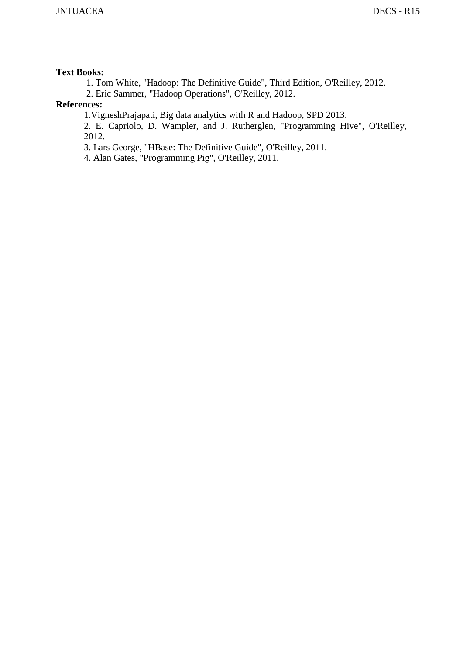#### **Text Books:**

1. Tom White, "Hadoop: The Definitive Guide", Third Edition, O'Reilley, 2012.

2. Eric Sammer, "Hadoop Operations", O'Reilley, 2012.

## **References:**

1.VigneshPrajapati, Big data analytics with R and Hadoop, SPD 2013.

2. E. Capriolo, D. Wampler, and J. Rutherglen, "Programming Hive", O'Reilley, 2012.

3. Lars George, "HBase: The Definitive Guide", O'Reilley, 2011.

4. Alan Gates, "Programming Pig", O'Reilley, 2011.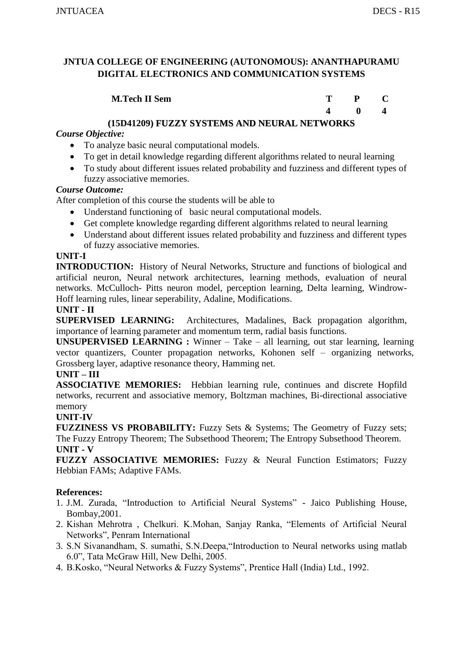| <b>M.Tech II Sem</b> | $P$ C        |  |
|----------------------|--------------|--|
|                      | $\mathbf{0}$ |  |

## **(15D41209) FUZZY SYSTEMS AND NEURAL NETWORKS**

## *Course Objective:*

- To analyze basic neural computational models.
- To get in detail knowledge regarding different algorithms related to neural learning
- To study about different issues related probability and fuzziness and different types of fuzzy associative memories.

## *Course Outcome:*

After completion of this course the students will be able to

- Understand functioning of basic neural computational models.
- Get complete knowledge regarding different algorithms related to neural learning
- Understand about different issues related probability and fuzziness and different types of fuzzy associative memories.

## **UNIT-I**

**INTRODUCTION:** History of Neural Networks, Structure and functions of biological and artificial neuron, Neural network architectures, learning methods, evaluation of neural networks. McCulloch- Pitts neuron model, perception learning, Delta learning, Windrow-Hoff learning rules, linear seperability, Adaline, Modifications.

## **UNIT - II**

**SUPERVISED LEARNING:** Architectures, Madalines, Back propagation algorithm, importance of learning parameter and momentum term, radial basis functions.

**UNSUPERVISED LEARNING :** Winner – Take – all learning, out star learning, learning vector quantizers, Counter propagation networks, Kohonen self – organizing networks, Grossberg layer, adaptive resonance theory, Hamming net.

## **UNIT – III**

**ASSOCIATIVE MEMORIES:** Hebbian learning rule, continues and discrete Hopfild networks, recurrent and associative memory, Boltzman machines, Bi-directional associative memory

## **UNIT-IV**

**FUZZINESS VS PROBABILITY:** Fuzzy Sets & Systems; The Geometry of Fuzzy sets; The Fuzzy Entropy Theorem; The Subsethood Theorem; The Entropy Subsethood Theorem. **UNIT - V**

**FUZZY ASSOCIATIVE MEMORIES:** Fuzzy & Neural Function Estimators; Fuzzy Hebbian FAMs; Adaptive FAMs.

- 1. J.M. Zurada, "Introduction to Artificial Neural Systems" Jaico Publishing House, Bombay,2001.
- 2. Kishan Mehrotra , Chelkuri. K.Mohan, Sanjay Ranka, "Elements of Artificial Neural Networks", Penram International
- 3. S.N Sivanandham, S. sumathi, S.N.Deepa,"Introduction to Neural networks using matlab 6.0", Tata McGraw Hill, New Delhi, 2005.
- 4. B.Kosko, "Neural Networks & Fuzzy Systems", Prentice Hall (India) Ltd., 1992.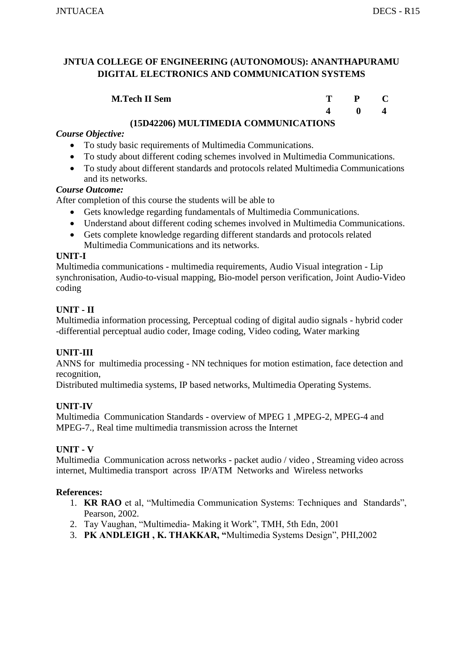| <b>M.Tech II Sem</b> | P C          |  |
|----------------------|--------------|--|
|                      | $\mathbf{0}$ |  |

## **(15D42206) MULTIMEDIA COMMUNICATIONS**

## *Course Objective:*

- To study basic requirements of Multimedia Communications.
- To study about different coding schemes involved in Multimedia Communications.
- To study about different standards and protocols related Multimedia Communications and its networks.

#### *Course Outcome:*

After completion of this course the students will be able to

- Gets knowledge regarding fundamentals of Multimedia Communications.
- Understand about different coding schemes involved in Multimedia Communications.
- Gets complete knowledge regarding different standards and protocols related Multimedia Communications and its networks.

## **UNIT-I**

Multimedia communications - multimedia requirements, Audio Visual integration - Lip synchronisation, Audio-to-visual mapping, Bio-model person verification, Joint Audio-Video coding

## **UNIT - II**

Multimedia information processing, Perceptual coding of digital audio signals - hybrid coder -differential perceptual audio coder, Image coding, Video coding, Water marking

## **UNIT-III**

ANNS for multimedia processing - NN techniques for motion estimation, face detection and recognition,

Distributed multimedia systems, IP based networks, Multimedia Operating Systems.

## **UNIT-IV**

Multimedia Communication Standards - overview of MPEG 1 ,MPEG-2, MPEG-4 and MPEG-7., Real time multimedia transmission across the Internet

## **UNIT - V**

Multimedia Communication across networks - packet audio / video , Streaming video across internet, Multimedia transport across IP/ATM Networks and Wireless networks

- 1. **KR RAO** et al, "Multimedia Communication Systems: Techniques and Standards", Pearson, 2002.
- 2. Tay Vaughan, "Multimedia- Making it Work", TMH, 5th Edn, 2001
- 3. **PK ANDLEIGH , K. THAKKAR, "**Multimedia Systems Design", PHI,2002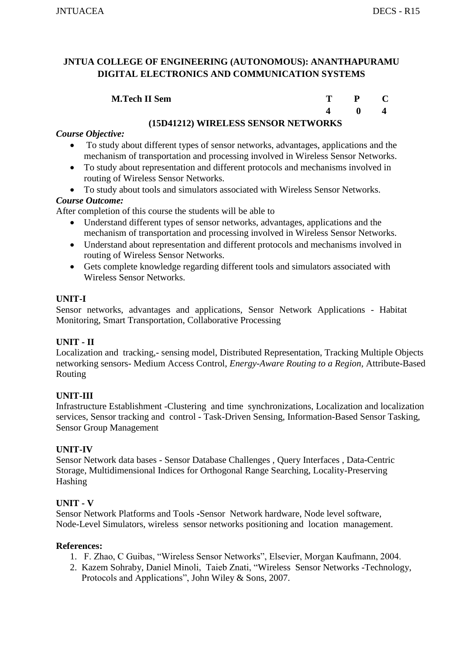| <b>M.Tech II Sem</b> | T – | $P$ C          |
|----------------------|-----|----------------|
|                      |     | $\mathbf{0}$ . |

## **(15D41212) WIRELESS SENSOR NETWORKS**

## *Course Objective:*

- To study about different types of sensor networks, advantages, applications and the mechanism of transportation and processing involved in Wireless Sensor Networks.
- To study about representation and different protocols and mechanisms involved in routing of Wireless Sensor Networks.
- To study about tools and simulators associated with Wireless Sensor Networks.

## *Course Outcome:*

After completion of this course the students will be able to

- Understand different types of sensor networks, advantages, applications and the mechanism of transportation and processing involved in Wireless Sensor Networks.
- Understand about representation and different protocols and mechanisms involved in routing of Wireless Sensor Networks.
- Gets complete knowledge regarding different tools and simulators associated with Wireless Sensor Networks.

#### **UNIT-I**

Sensor networks, advantages and applications, Sensor Network Applications - Habitat Monitoring, Smart Transportation, Collaborative Processing

## **UNIT - II**

Localization and tracking,- sensing model, Distributed Representation, Tracking Multiple Objects networking sensors- Medium Access Control, *Energy-Aware Routing to a Region,* Attribute-Based Routing

## **UNIT-III**

Infrastructure Establishment -Clustering and time synchronizations, Localization and localization services, Sensor tracking and control - Task-Driven Sensing, Information-Based Sensor Tasking, Sensor Group Management

#### **UNIT-IV**

Sensor Network data bases - Sensor Database Challenges , Query Interfaces , Data-Centric Storage, Multidimensional Indices for Orthogonal Range Searching, Locality-Preserving Hashing

## **UNIT - V**

Sensor Network Platforms and Tools **-**Sensor Network hardware, Node level software, Node-Level Simulators, wireless sensor networks positioning and location management.

- 1. F. Zhao, C Guibas, "Wireless Sensor Networks", Elsevier, Morgan Kaufmann, 2004.
- 2. Kazem Sohraby, Daniel Minoli, Taieb Znati, "Wireless Sensor Networks -Technology, Protocols and Applications", John Wiley & Sons, 2007.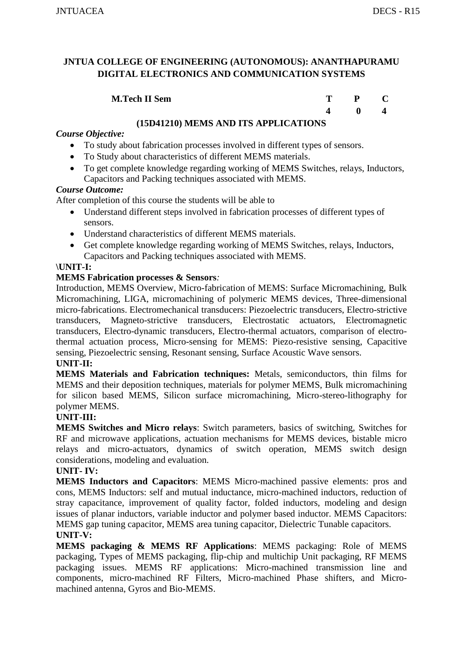| <b>M.Tech II Sem</b> | P C |                                     |
|----------------------|-----|-------------------------------------|
|                      |     | $\begin{matrix} 0 & 4 \end{matrix}$ |

## **(15D41210) MEMS AND ITS APPLICATIONS**

## *Course Objective:*

- To study about fabrication processes involved in different types of sensors.
- To Study about characteristics of different MEMS materials.
- To get complete knowledge regarding working of MEMS Switches, relays, Inductors, Capacitors and Packing techniques associated with MEMS.

#### *Course Outcome:*

After completion of this course the students will be able to

- Understand different steps involved in fabrication processes of different types of sensors.
- Understand characteristics of different MEMS materials.
- Get complete knowledge regarding working of MEMS Switches, relays, Inductors, Capacitors and Packing techniques associated with MEMS.

## **\UNIT-I:**

## **MEMS Fabrication processes & Sensors***:*

Introduction, MEMS Overview, Micro-fabrication of MEMS: Surface Micromachining, Bulk Micromachining, LIGA, micromachining of polymeric MEMS devices, Three-dimensional micro-fabrications. Electromechanical transducers: Piezoelectric transducers, Electro-strictive transducers, Magneto-strictive transducers, Electrostatic actuators, Electromagnetic transducers, Electro-dynamic transducers, Electro-thermal actuators, comparison of electrothermal actuation process, Micro-sensing for MEMS: Piezo-resistive sensing, Capacitive sensing, Piezoelectric sensing, Resonant sensing, Surface Acoustic Wave sensors.

#### **UNIT-II:**

**MEMS Materials and Fabrication techniques:** Metals, semiconductors, thin films for MEMS and their deposition techniques, materials for polymer MEMS, Bulk micromachining for silicon based MEMS, Silicon surface micromachining, Micro-stereo-lithography for polymer MEMS.

## **UNIT-III:**

**MEMS Switches and Micro relays**: Switch parameters, basics of switching, Switches for RF and microwave applications, actuation mechanisms for MEMS devices, bistable micro relays and micro-actuators, dynamics of switch operation, MEMS switch design considerations, modeling and evaluation.

#### **UNIT- IV:**

**MEMS Inductors and Capacitors**: MEMS Micro-machined passive elements: pros and cons, MEMS Inductors: self and mutual inductance, micro-machined inductors, reduction of stray capacitance, improvement of quality factor, folded inductors, modeling and design issues of planar inductors, variable inductor and polymer based inductor. MEMS Capacitors: MEMS gap tuning capacitor, MEMS area tuning capacitor, Dielectric Tunable capacitors. **UNIT-V:**

**MEMS packaging & MEMS RF Applications**: MEMS packaging: Role of MEMS packaging, Types of MEMS packaging, flip-chip and multichip Unit packaging, RF MEMS packaging issues. MEMS RF applications: Micro-machined transmission line and components, micro-machined RF Filters, Micro-machined Phase shifters, and Micromachined antenna, Gyros and Bio-MEMS.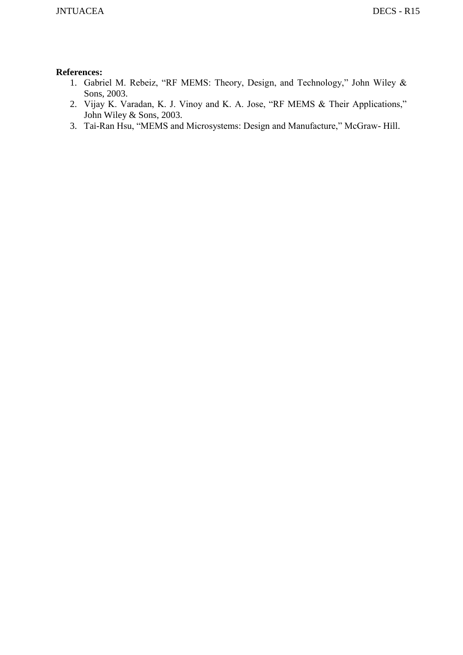- 1. Gabriel M. Rebeiz, "RF MEMS: Theory, Design, and Technology," John Wiley & Sons, 2003.
- 2. Vijay K. Varadan, K. J. Vinoy and K. A. Jose, "RF MEMS & Their Applications," John Wiley & Sons, 2003.
- 3. Tai-Ran Hsu, "MEMS and Microsystems: Design and Manufacture," McGraw- Hill.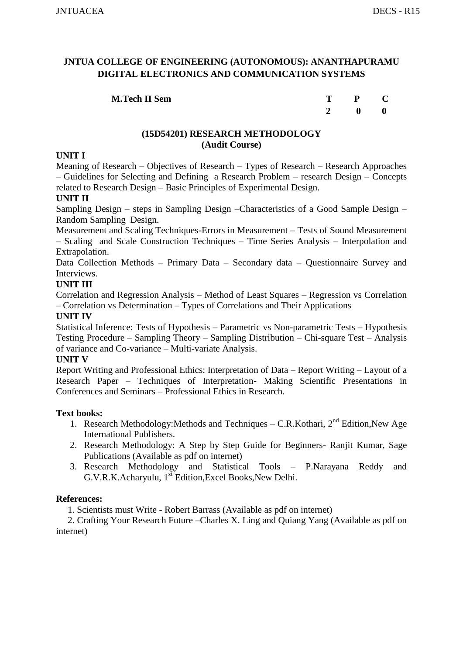| <b>M.Tech II Sem</b> | P C                                                |  |
|----------------------|----------------------------------------------------|--|
|                      | $\begin{array}{ccc} & & 0 & \quad & 0 \end{array}$ |  |

#### **(15D54201) RESEARCH METHODOLOGY (Audit Course)**

#### **UNIT I**

Meaning of Research – Objectives of Research – Types of Research – Research Approaches – Guidelines for Selecting and Defining a Research Problem – research Design – Concepts related to Research Design – Basic Principles of Experimental Design.

#### **UNIT II**

Sampling Design – steps in Sampling Design –Characteristics of a Good Sample Design – Random Sampling Design.

Measurement and Scaling Techniques-Errors in Measurement – Tests of Sound Measurement – Scaling and Scale Construction Techniques – Time Series Analysis – Interpolation and Extrapolation.

Data Collection Methods – Primary Data – Secondary data – Questionnaire Survey and Interviews.

#### **UNIT III**

Correlation and Regression Analysis – Method of Least Squares – Regression vs Correlation – Correlation vs Determination – Types of Correlations and Their Applications

#### **UNIT IV**

Statistical Inference: Tests of Hypothesis – Parametric vs Non-parametric Tests – Hypothesis Testing Procedure – Sampling Theory – Sampling Distribution – Chi-square Test – Analysis of variance and Co-variance – Multi-variate Analysis.

#### **UNIT V**

Report Writing and Professional Ethics: Interpretation of Data – Report Writing – Layout of a Research Paper – Techniques of Interpretation- Making Scientific Presentations in Conferences and Seminars – Professional Ethics in Research.

#### **Text books:**

- 1. Research Methodology:Methods and Techniques C.R.Kothari, 2nd Edition,New Age International Publishers.
- 2. Research Methodology: A Step by Step Guide for Beginners- Ranjit Kumar, Sage Publications (Available as pdf on internet)
- 3. Research Methodology and Statistical Tools P.Narayana Reddy and  $G.V.R.K.Achar$ yulu,  $1<sup>st</sup> Edition, Excel Books, New Delhi.$

## **References:**

1. Scientists must Write - Robert Barrass (Available as pdf on internet)

 2. Crafting Your Research Future –Charles X. Ling and Quiang Yang (Available as pdf on internet)